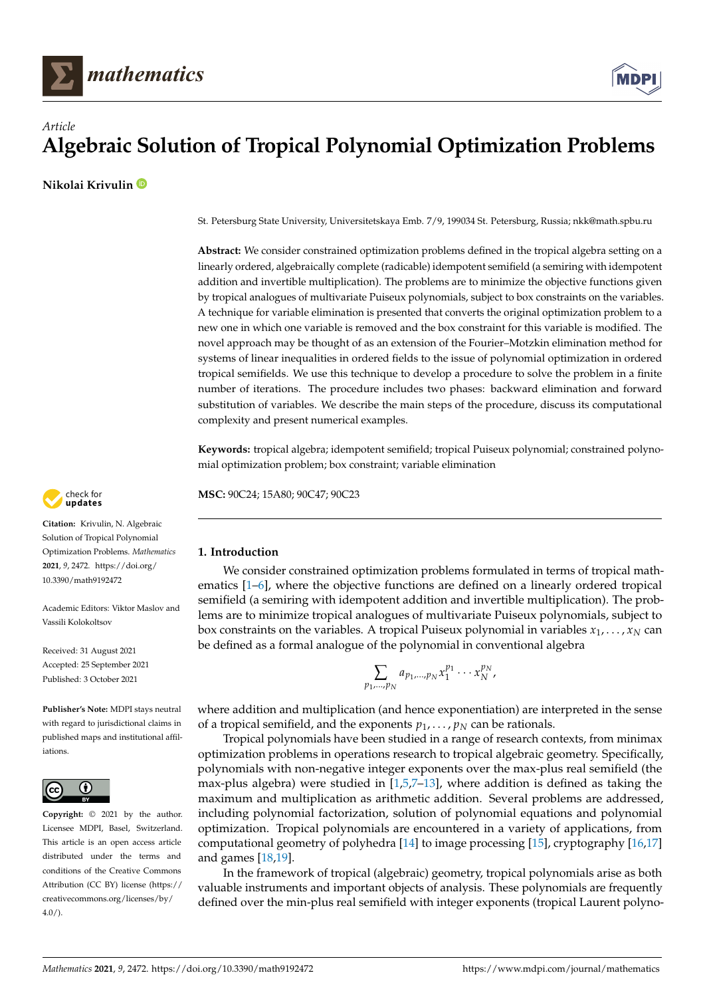



# *Article* **Algebraic Solution of Tropical Polynomial Optimization Problems**

**Nikolai Krivulin**

St. Petersburg State University, Universitetskaya Emb. 7/9, 199034 St. Petersburg, Russia; nkk@math.spbu.ru

**Abstract:** We consider constrained optimization problems defined in the tropical algebra setting on a linearly ordered, algebraically complete (radicable) idempotent semifield (a semiring with idempotent addition and invertible multiplication). The problems are to minimize the objective functions given by tropical analogues of multivariate Puiseux polynomials, subject to box constraints on the variables. A technique for variable elimination is presented that converts the original optimization problem to a new one in which one variable is removed and the box constraint for this variable is modified. The novel approach may be thought of as an extension of the Fourier–Motzkin elimination method for systems of linear inequalities in ordered fields to the issue of polynomial optimization in ordered tropical semifields. We use this technique to develop a procedure to solve the problem in a finite number of iterations. The procedure includes two phases: backward elimination and forward substitution of variables. We describe the main steps of the procedure, discuss its computational complexity and present numerical examples.

**Keywords:** tropical algebra; idempotent semifield; tropical Puiseux polynomial; constrained polynomial optimization problem; box constraint; variable elimination

**MSC:** 90C24; 15A80; 90C47; 90C23

# **1. Introduction**

We consider constrained optimization problems formulated in terms of tropical mathematics [\[1](#page-16-0)[–6\]](#page-16-1), where the objective functions are defined on a linearly ordered tropical semifield (a semiring with idempotent addition and invertible multiplication). The problems are to minimize tropical analogues of multivariate Puiseux polynomials, subject to box constraints on the variables. A tropical Puiseux polynomial in variables  $x_1, \ldots, x_N$  can be defined as a formal analogue of the polynomial in conventional algebra

$$
\sum_{1,\dots,p_N} a_{p_1,\dots,p_N} x_1^{p_1} \cdots x_N^{p_N},
$$

*p*<sup>1</sup>

where addition and multiplication (and hence exponentiation) are interpreted in the sense of a tropical semifield, and the exponents  $p_1, \ldots, p_N$  can be rationals.

Tropical polynomials have been studied in a range of research contexts, from minimax optimization problems in operations research to tropical algebraic geometry. Specifically, polynomials with non-negative integer exponents over the max-plus real semifield (the max-plus algebra) were studied in  $[1,5,7-13]$  $[1,5,7-13]$  $[1,5,7-13]$  $[1,5,7-13]$ , where addition is defined as taking the maximum and multiplication as arithmetic addition. Several problems are addressed, including polynomial factorization, solution of polynomial equations and polynomial optimization. Tropical polynomials are encountered in a variety of applications, from computational geometry of polyhedra [\[14\]](#page-16-5) to image processing [\[15\]](#page-16-6), cryptography [\[16,](#page-16-7)[17\]](#page-16-8) and games [\[18,](#page-16-9)[19\]](#page-16-10).

In the framework of tropical (algebraic) geometry, tropical polynomials arise as both valuable instruments and important objects of analysis. These polynomials are frequently defined over the min-plus real semifield with integer exponents (tropical Laurent polyno-



**Citation:** Krivulin, N. Algebraic Solution of Tropical Polynomial Optimization Problems. *Mathematics* **2021**, *9*, 2472. [https://doi.org/](https://doi.org/10.3390/math9192472) [10.3390/math9192472](https://doi.org/10.3390/math9192472)

Academic Editors: Viktor Maslov and Vassili Kolokoltsov

Received: 31 August 2021 Accepted: 25 September 2021 Published: 3 October 2021

**Publisher's Note:** MDPI stays neutral with regard to jurisdictional claims in published maps and institutional affiliations.



**Copyright:** © 2021 by the author. Licensee MDPI, Basel, Switzerland. This article is an open access article distributed under the terms and conditions of the Creative Commons Attribution (CC BY) license (https:/[/](https://creativecommons.org/licenses/by/4.0/) [creativecommons.org/licenses/by/](https://creativecommons.org/licenses/by/4.0/)  $4.0/$ ).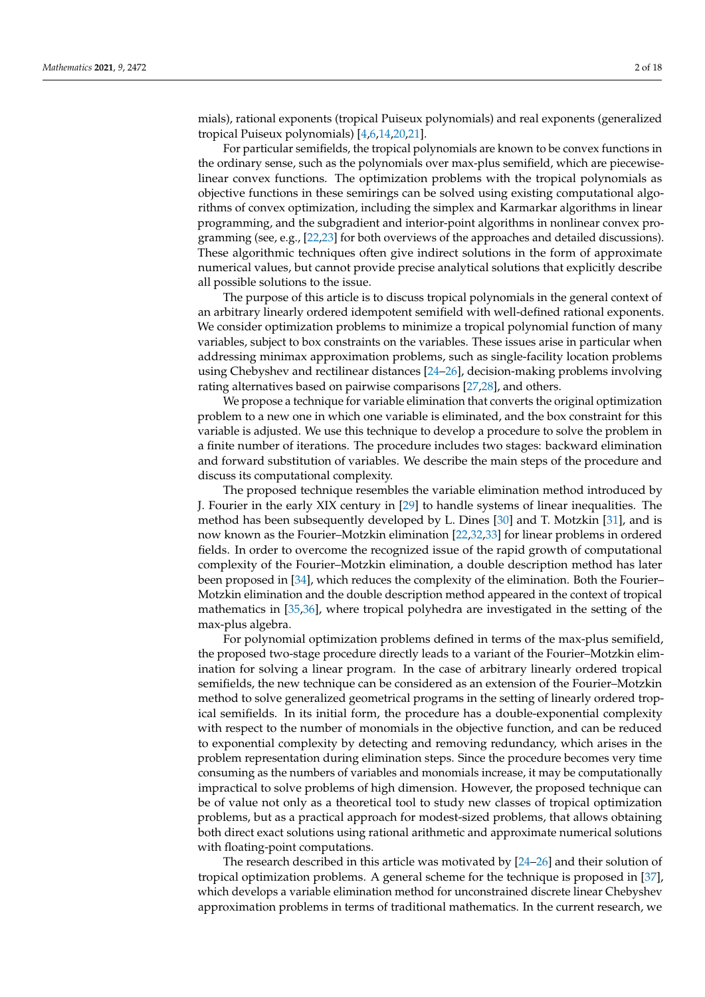mials), rational exponents (tropical Puiseux polynomials) and real exponents (generalized tropical Puiseux polynomials) [\[4](#page-16-11)[,6](#page-16-1)[,14](#page-16-5)[,20](#page-16-12)[,21\]](#page-16-13).

For particular semifields, the tropical polynomials are known to be convex functions in the ordinary sense, such as the polynomials over max-plus semifield, which are piecewiselinear convex functions. The optimization problems with the tropical polynomials as objective functions in these semirings can be solved using existing computational algorithms of convex optimization, including the simplex and Karmarkar algorithms in linear programming, and the subgradient and interior-point algorithms in nonlinear convex programming (see, e.g., [\[22](#page-16-14)[,23\]](#page-16-15) for both overviews of the approaches and detailed discussions). These algorithmic techniques often give indirect solutions in the form of approximate numerical values, but cannot provide precise analytical solutions that explicitly describe all possible solutions to the issue.

The purpose of this article is to discuss tropical polynomials in the general context of an arbitrary linearly ordered idempotent semifield with well-defined rational exponents. We consider optimization problems to minimize a tropical polynomial function of many variables, subject to box constraints on the variables. These issues arise in particular when addressing minimax approximation problems, such as single-facility location problems using Chebyshev and rectilinear distances [\[24](#page-16-16)[–26\]](#page-16-17), decision-making problems involving rating alternatives based on pairwise comparisons [\[27,](#page-16-18)[28\]](#page-16-19), and others.

We propose a technique for variable elimination that converts the original optimization problem to a new one in which one variable is eliminated, and the box constraint for this variable is adjusted. We use this technique to develop a procedure to solve the problem in a finite number of iterations. The procedure includes two stages: backward elimination and forward substitution of variables. We describe the main steps of the procedure and discuss its computational complexity.

The proposed technique resembles the variable elimination method introduced by J. Fourier in the early XIX century in [\[29\]](#page-16-20) to handle systems of linear inequalities. The method has been subsequently developed by L. Dines [\[30\]](#page-16-21) and T. Motzkin [\[31\]](#page-16-22), and is now known as the Fourier–Motzkin elimination [\[22,](#page-16-14)[32,](#page-17-0)[33\]](#page-17-1) for linear problems in ordered fields. In order to overcome the recognized issue of the rapid growth of computational complexity of the Fourier–Motzkin elimination, a double description method has later been proposed in [\[34\]](#page-17-2), which reduces the complexity of the elimination. Both the Fourier– Motzkin elimination and the double description method appeared in the context of tropical mathematics in [\[35](#page-17-3)[,36\]](#page-17-4), where tropical polyhedra are investigated in the setting of the max-plus algebra.

For polynomial optimization problems defined in terms of the max-plus semifield, the proposed two-stage procedure directly leads to a variant of the Fourier–Motzkin elimination for solving a linear program. In the case of arbitrary linearly ordered tropical semifields, the new technique can be considered as an extension of the Fourier–Motzkin method to solve generalized geometrical programs in the setting of linearly ordered tropical semifields. In its initial form, the procedure has a double-exponential complexity with respect to the number of monomials in the objective function, and can be reduced to exponential complexity by detecting and removing redundancy, which arises in the problem representation during elimination steps. Since the procedure becomes very time consuming as the numbers of variables and monomials increase, it may be computationally impractical to solve problems of high dimension. However, the proposed technique can be of value not only as a theoretical tool to study new classes of tropical optimization problems, but as a practical approach for modest-sized problems, that allows obtaining both direct exact solutions using rational arithmetic and approximate numerical solutions with floating-point computations.

The research described in this article was motivated by [\[24](#page-16-16)[–26\]](#page-16-17) and their solution of tropical optimization problems. A general scheme for the technique is proposed in [\[37\]](#page-17-5), which develops a variable elimination method for unconstrained discrete linear Chebyshev approximation problems in terms of traditional mathematics. In the current research, we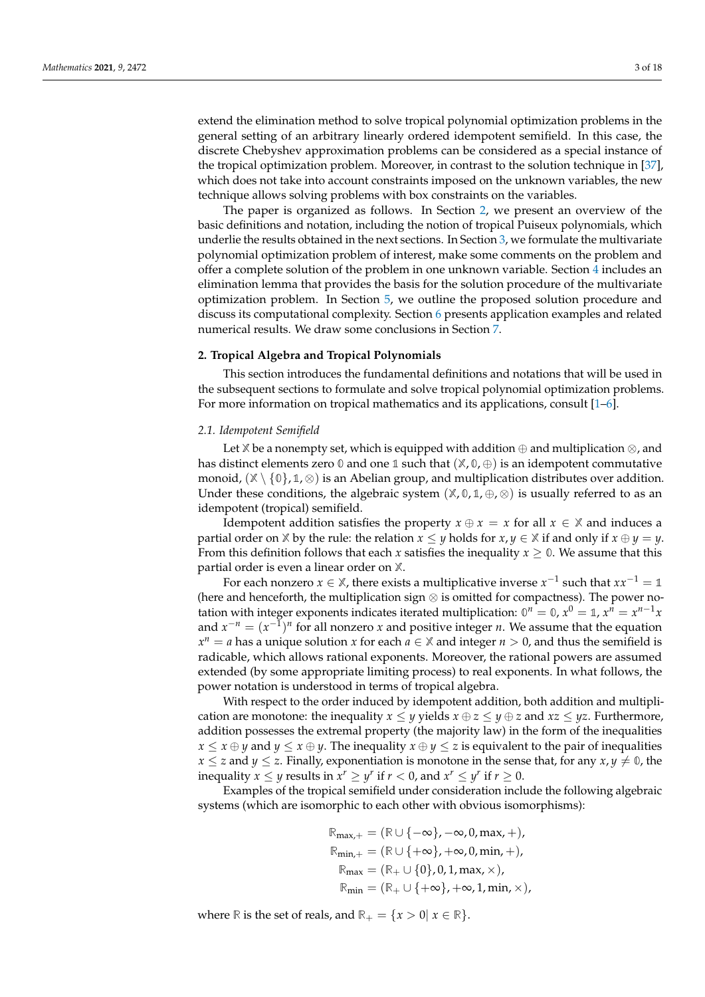extend the elimination method to solve tropical polynomial optimization problems in the general setting of an arbitrary linearly ordered idempotent semifield. In this case, the discrete Chebyshev approximation problems can be considered as a special instance of the tropical optimization problem. Moreover, in contrast to the solution technique in [\[37\]](#page-17-5), which does not take into account constraints imposed on the unknown variables, the new technique allows solving problems with box constraints on the variables.

The paper is organized as follows. In Section [2,](#page-2-0) we present an overview of the basic definitions and notation, including the notion of tropical Puiseux polynomials, which underlie the results obtained in the next sections. In Section [3,](#page-3-0) we formulate the multivariate polynomial optimization problem of interest, make some comments on the problem and offer a complete solution of the problem in one unknown variable. Section [4](#page-7-0) includes an elimination lemma that provides the basis for the solution procedure of the multivariate optimization problem. In Section [5,](#page-10-0) we outline the proposed solution procedure and discuss its computational complexity. Section [6](#page-13-0) presents application examples and related numerical results. We draw some conclusions in Section [7.](#page-15-0)

# <span id="page-2-0"></span>**2. Tropical Algebra and Tropical Polynomials**

This section introduces the fundamental definitions and notations that will be used in the subsequent sections to formulate and solve tropical polynomial optimization problems. For more information on tropical mathematics and its applications, consult [\[1](#page-16-0)[–6\]](#page-16-1).

#### *2.1. Idempotent Semifield*

Let **X** be a nonempty set, which is equipped with addition ⊕ and multiplication ⊗, and has distinct elements zero **0** and one **1** such that (**X**, **0**, ⊕) is an idempotent commutative monoid,  $(\mathbb{X} \setminus \{0\}, \mathbb{1}, \otimes)$  is an Abelian group, and multiplication distributes over addition. Under these conditions, the algebraic system  $(\mathbb{X}, \mathbb{0}, \mathbb{1}, \oplus, \otimes)$  is usually referred to as an idempotent (tropical) semifield.

Idempotent addition satisfies the property  $x \oplus x = x$  for all  $x \in \mathbb{X}$  and induces a partial order on  $\mathbb{X}$  by the rule: the relation  $x \leq y$  holds for  $x, y \in \mathbb{X}$  if and only if  $x \oplus y = y$ . From this definition follows that each *x* satisfies the inequality  $x \geq 0$ . We assume that this partial order is even a linear order on **X**.

For each nonzero  $x \in \mathbb{X}$ , there exists a multiplicative inverse  $x^{-1}$  such that  $xx^{-1} = \mathbb{1}$ (here and henceforth, the multiplication sign ⊗ is omitted for compactness). The power notation with integer exponents indicates iterated multiplication:  $0^n = 0$ ,  $x^0 = 1$ ,  $x^n = x^{n-1}x$ and  $x^{-n} = (x^{-1})^n$  for all nonzero *x* and positive integer *n*. We assume that the equation  $x^n = a$  has a unique solution *x* for each  $a \in \mathbb{X}$  and integer  $n > 0$ , and thus the semifield is radicable, which allows rational exponents. Moreover, the rational powers are assumed extended (by some appropriate limiting process) to real exponents. In what follows, the power notation is understood in terms of tropical algebra.

With respect to the order induced by idempotent addition, both addition and multiplication are monotone: the inequality  $x \le y$  yields  $x \oplus z \le y \oplus z$  and  $xz \le yz$ . Furthermore, addition possesses the extremal property (the majority law) in the form of the inequalities  $x \leq x \oplus y$  and  $y \leq x \oplus y$ . The inequality  $x \oplus y \leq z$  is equivalent to the pair of inequalities  $x \leq z$  and  $y \leq z$ . Finally, exponentiation is monotone in the sense that, for any  $x, y \neq 0$ , the inequality  $x \leq y$  results in  $x^r \geq y^r$  if  $r < 0$ , and  $x^r \leq y^r$  if  $r \geq 0$ .

Examples of the tropical semifield under consideration include the following algebraic systems (which are isomorphic to each other with obvious isomorphisms):

$$
\mathbb{R}_{\text{max},+} = (\mathbb{R} \cup \{-\infty\}, -\infty, 0, \text{max}, +),
$$
  
\n
$$
\mathbb{R}_{\text{min},+} = (\mathbb{R} \cup \{+\infty\}, +\infty, 0, \text{min}, +),
$$
  
\n
$$
\mathbb{R}_{\text{max}} = (\mathbb{R}_{+} \cup \{0\}, 0, 1, \text{max}, \times),
$$
  
\n
$$
\mathbb{R}_{\text{min}} = (\mathbb{R}_{+} \cup \{+\infty\}, +\infty, 1, \text{min}, \times),
$$

where **R** is the set of reals, and  $\mathbb{R}_+ = \{x > 0 | x \in \mathbb{R} \}.$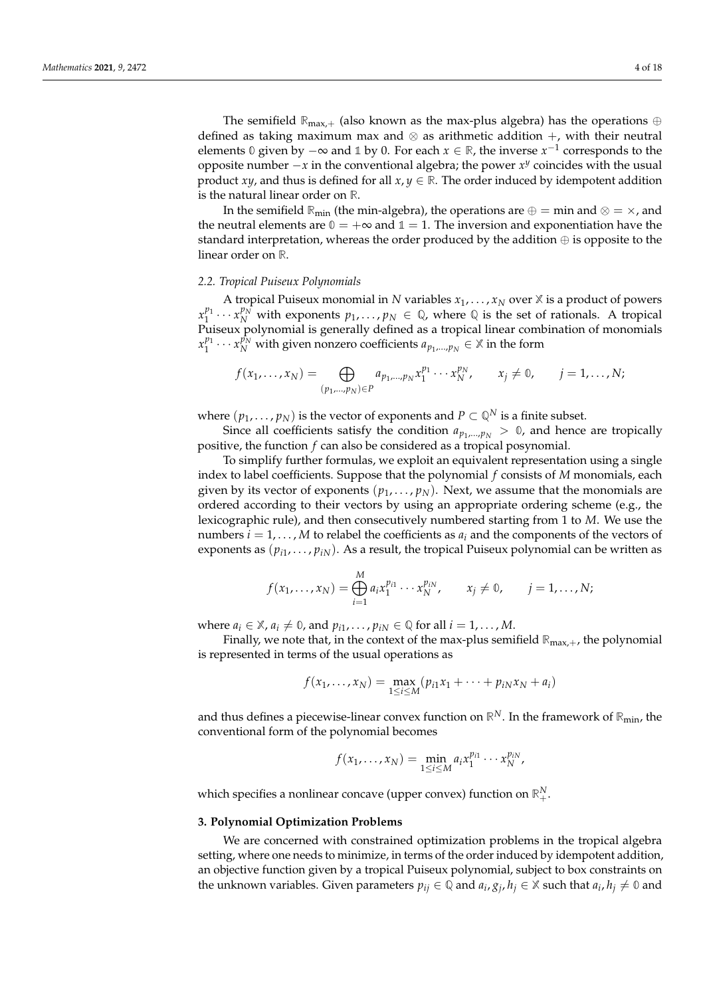The semifield  $\mathbb{R}_{\text{max},+}$  (also known as the max-plus algebra) has the operations  $\oplus$ defined as taking maximum max and  $\otimes$  as arithmetic addition  $+$ , with their neutral elements  $\emptyset$  given by  $-\infty$  and  $\emptyset$  by  $\emptyset$ . For each  $x \in \mathbb{R}$ , the inverse  $x^{-1}$  corresponds to the opposite number  $-x$  in the conventional algebra; the power *x<sup>y</sup>* coincides with the usual product *xy*, and thus is defined for all  $x, y \in \mathbb{R}$ . The order induced by idempotent addition is the natural linear order on **R**.

In the semifield  $\mathbb{R}_{\text{min}}$  (the min-algebra), the operations are  $\oplus = \min$  and  $\otimes = \times$ , and the neutral elements are  $\mathbb{0} = +\infty$  and  $\mathbb{1} = 1$ . The inversion and exponentiation have the standard interpretation, whereas the order produced by the addition  $\oplus$  is opposite to the linear order on **R**.

### *2.2. Tropical Puiseux Polynomials*

A tropical Puiseux monomial in *N* variables  $x_1, \ldots, x_N$  over  $X$  is a product of powers  $x_1^{p_1} \cdots x_N^{p_N}$  with exponents  $p_1, \ldots, p_N \in \mathbb{Q}$ , where  $\mathbb{Q}$  is the set of rationals. A tropical Puiseux polynomial is generally defined as a tropical linear combination of monomials  $x_1^{p_1} \cdots x_N^{p_N}$  with given nonzero coefficients  $a_{p_1,\dots,p_N} \in \mathbb{X}$  in the form

$$
f(x_1,\ldots,x_N)=\bigoplus_{(p_1,\ldots,p_N)\in P}a_{p_1,\ldots,p_N}x_1^{p_1}\cdots x_N^{p_N},\qquad x_j\neq 0,\qquad j=1,\ldots,N;
$$

where  $(p_1, \ldots, p_N)$  is the vector of exponents and  $P \subset \mathbb{Q}^N$  is a finite subset.

Since all coefficients satisfy the condition  $a_{p_1,...,p_N} > 0$ , and hence are tropically positive, the function *f* can also be considered as a tropical posynomial.

To simplify further formulas, we exploit an equivalent representation using a single index to label coefficients. Suppose that the polynomial *f* consists of *M* monomials, each given by its vector of exponents  $(p_1, \ldots, p_N)$ . Next, we assume that the monomials are ordered according to their vectors by using an appropriate ordering scheme (e.g., the lexicographic rule), and then consecutively numbered starting from 1 to *M*. We use the numbers  $i = 1, \ldots, M$  to relabel the coefficients as  $a_i$  and the components of the vectors of exponents as  $(p_{i1},...,p_{iN})$ . As a result, the tropical Puiseux polynomial can be written as

$$
f(x_1,\ldots,x_N)=\bigoplus_{i=1}^M a_i x_1^{p_{i1}}\cdots x_N^{p_{iN}}, \qquad x_j\neq 0, \qquad j=1,\ldots,N;
$$

where  $a_i \in \mathbb{X}$ ,  $a_i \neq \mathbb{0}$ , and  $p_{i1}, \ldots, p_{iN} \in \mathbb{Q}$  for all  $i = 1, \ldots, M$ .

Finally, we note that, in the context of the max-plus semifield  $\mathbb{R}_{\text{max},+}$ , the polynomial is represented in terms of the usual operations as

$$
f(x_1,...,x_N) = \max_{1 \le i \le M} (p_{i1}x_1 + \cdots + p_{iN}x_N + a_i)
$$

and thus defines a piecewise-linear convex function on  $\mathbb{R}^N$ . In the framework of  $\mathbb{R}_{min}$ , the conventional form of the polynomial becomes

$$
f(x_1,...,x_N) = \min_{1 \le i \le M} a_i x_1^{p_{i1}} \cdots x_N^{p_{iN}},
$$

which specifies a nonlinear concave (upper convex) function on  $\mathbb{R}^N_+$ .

# <span id="page-3-0"></span>**3. Polynomial Optimization Problems**

We are concerned with constrained optimization problems in the tropical algebra setting, where one needs to minimize, in terms of the order induced by idempotent addition, an objective function given by a tropical Puiseux polynomial, subject to box constraints on the unknown variables. Given parameters  $p_{ij} \in \mathbb{Q}$  and  $a_i, g_j, h_j \in \mathbb{X}$  such that  $a_i, h_j \neq \mathbb{0}$  and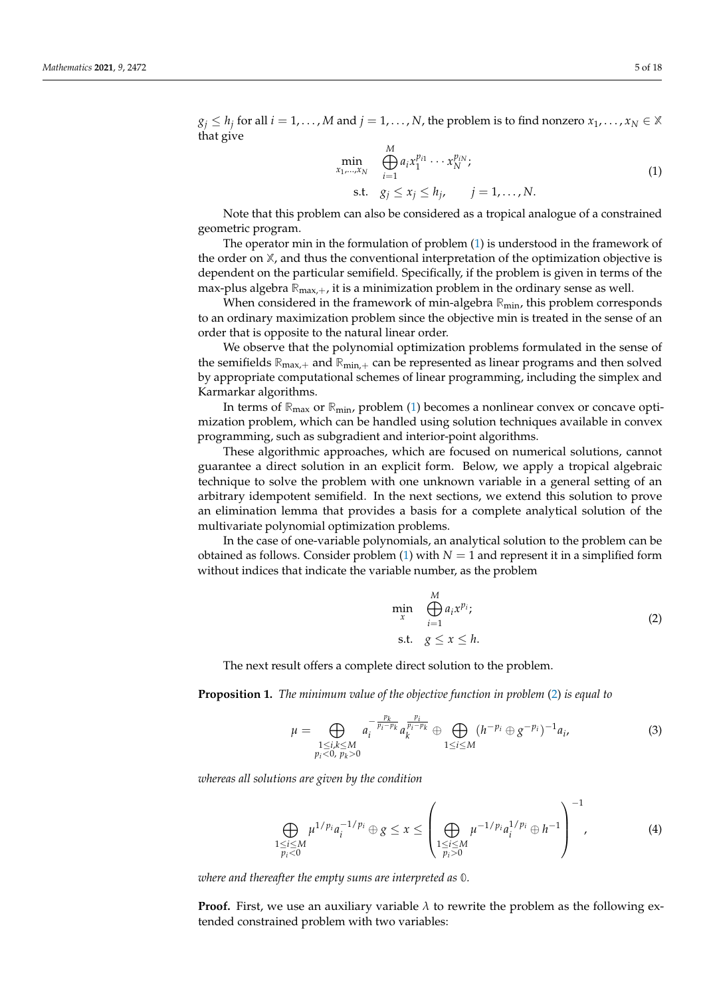$g_j \leq h_j$  for all  $i = 1, \ldots, M$  and  $j = 1, \ldots, N$ , the problem is to find nonzero  $x_1, \ldots, x_N \in \mathbb{X}$ that give

<span id="page-4-0"></span>
$$
\min_{x_1,\ldots,x_N} \bigoplus_{i=1}^M a_i x_1^{p_{i1}} \cdots x_N^{p_{iN}};
$$
\n
$$
\text{s.t.} \quad g_j \le x_j \le h_j, \qquad j = 1,\ldots,N.
$$
\n
$$
(1)
$$

Note that this problem can also be considered as a tropical analogue of a constrained geometric program.

The operator min in the formulation of problem [\(1\)](#page-4-0) is understood in the framework of the order on **X**, and thus the conventional interpretation of the optimization objective is dependent on the particular semifield. Specifically, if the problem is given in terms of the max-plus algebra  $\mathbb{R}_{\max,+}$ , it is a minimization problem in the ordinary sense as well.

When considered in the framework of min-algebra **R**min, this problem corresponds to an ordinary maximization problem since the objective min is treated in the sense of an order that is opposite to the natural linear order.

We observe that the polynomial optimization problems formulated in the sense of the semifields **R**max,<sup>+</sup> and **R**min,<sup>+</sup> can be represented as linear programs and then solved by appropriate computational schemes of linear programming, including the simplex and Karmarkar algorithms.

In terms of **R**max or **R**min, problem [\(1\)](#page-4-0) becomes a nonlinear convex or concave optimization problem, which can be handled using solution techniques available in convex programming, such as subgradient and interior-point algorithms.

These algorithmic approaches, which are focused on numerical solutions, cannot guarantee a direct solution in an explicit form. Below, we apply a tropical algebraic technique to solve the problem with one unknown variable in a general setting of an arbitrary idempotent semifield. In the next sections, we extend this solution to prove an elimination lemma that provides a basis for a complete analytical solution of the multivariate polynomial optimization problems.

In the case of one-variable polynomials, an analytical solution to the problem can be obtained as follows. Consider problem  $(1)$  with  $N = 1$  and represent it in a simplified form without indices that indicate the variable number, as the problem

<span id="page-4-1"></span>
$$
\min_{x} \bigoplus_{i=1}^{M} a_i x^{p_i};
$$
\n
$$
\text{s.t.} \quad g \le x \le h.
$$
\n
$$
(2)
$$

The next result offers a complete direct solution to the problem.

<span id="page-4-4"></span>**Proposition 1.** *The minimum value of the objective function in problem* [\(2\)](#page-4-1) *is equal to*

<span id="page-4-2"></span>
$$
\mu = \bigoplus_{\substack{1 \le i,k \le M \\ p_i < 0, \ p_k > 0}} a_i^{-\frac{p_k}{p_i - p_k}} a_k^{\frac{p_i}{p_i - p_k}} \oplus \bigoplus_{1 \le i \le M} (h^{-p_i} \oplus g^{-p_i})^{-1} a_i,\tag{3}
$$

*whereas all solutions are given by the condition*

<span id="page-4-3"></span>
$$
\bigoplus_{\substack{1 \le i \le M \\ p_i < 0}} \mu^{1/p_i} a_i^{-1/p_i} \oplus g \le x \le \left(\bigoplus_{\substack{1 \le i \le M \\ p_i > 0}} \mu^{-1/p_i} a_i^{1/p_i} \oplus h^{-1}\right)^{-1},\tag{4}
$$

*where and thereafter the empty sums are interpreted as* **0***.*

**Proof.** First, we use an auxiliary variable  $\lambda$  to rewrite the problem as the following extended constrained problem with two variables: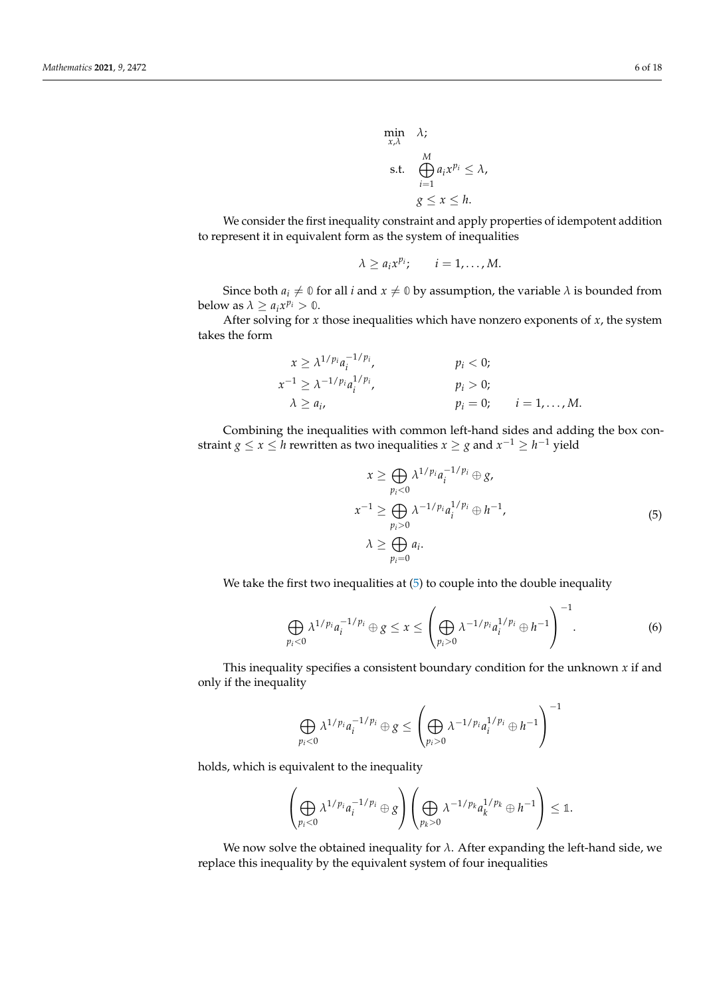$\min_{x,\lambda}$   $\lambda$ ; s.t. M *M i*=1  $a_ix^{p_i} \leq \lambda$ ,  $g \leq x \leq h$ .

We consider the first inequality constraint and apply properties of idempotent addition to represent it in equivalent form as the system of inequalities

$$
\lambda \geq a_i x^{p_i}; \qquad i=1,\ldots,M.
$$

Since both  $a_i \neq 0$  for all *i* and  $x \neq 0$  by assumption, the variable  $\lambda$  is bounded from below as  $\lambda \geq a_i x^{p_i} > 0$ .

After solving for  $x$  those inequalities which have nonzero exponents of  $x$ , the system takes the form

$$
x \geq \lambda^{1/p_i} a_i^{-1/p_i},
$$
  
\n
$$
p_i < 0;
$$
  
\n
$$
x^{-1} \geq \lambda^{-1/p_i} a_i^{1/p_i},
$$
  
\n
$$
p_i > 0;
$$
  
\n
$$
p_i > 0;
$$
  
\n
$$
p_i = 0;
$$
  
\n
$$
i = 1, ..., M.
$$

Combining the inequalities with common left-hand sides and adding the box constraint  $g \le x \le h$  rewritten as two inequalities  $x \ge g$  and  $x^{-1} \ge h^{-1}$  yield

<span id="page-5-0"></span>
$$
x \geq \bigoplus_{p_i < 0} \lambda^{1/p_i} a_i^{-1/p_i} \oplus g,
$$
\n
$$
x^{-1} \geq \bigoplus_{p_i > 0} \lambda^{-1/p_i} a_i^{1/p_i} \oplus h^{-1},
$$
\n
$$
\lambda \geq \bigoplus_{p_i = 0} a_i.
$$
\n
$$
(5)
$$

We take the first two inequalities at [\(5\)](#page-5-0) to couple into the double inequality

<span id="page-5-1"></span>
$$
\bigoplus_{p_i<0}\lambda^{1/p_i}a_i^{-1/p_i}\oplus g\leq x\leq \left(\bigoplus_{p_i>0}\lambda^{-1/p_i}a_i^{1/p_i}\oplus h^{-1}\right)^{-1}.\tag{6}
$$

This inequality specifies a consistent boundary condition for the unknown  $x$  if and only if the inequality

$$
\bigoplus_{p_i<0}\lambda^{1/p_i}a_i^{-1/p_i}\oplus g\leq \left(\bigoplus_{p_i>0}\lambda^{-1/p_i}a_i^{1/p_i}\oplus h^{-1}\right)^{-1}
$$

holds, which is equivalent to the inequality

$$
\left(\bigoplus_{p_i<0}\lambda^{1/p_i}a_i^{-1/p_i}\oplus g\right)\left(\bigoplus_{p_k>0}\lambda^{-1/p_k}a_k^{1/p_k}\oplus h^{-1}\right)\leq 1.
$$

We now solve the obtained inequality for  $\lambda$ . After expanding the left-hand side, we replace this inequality by the equivalent system of four inequalities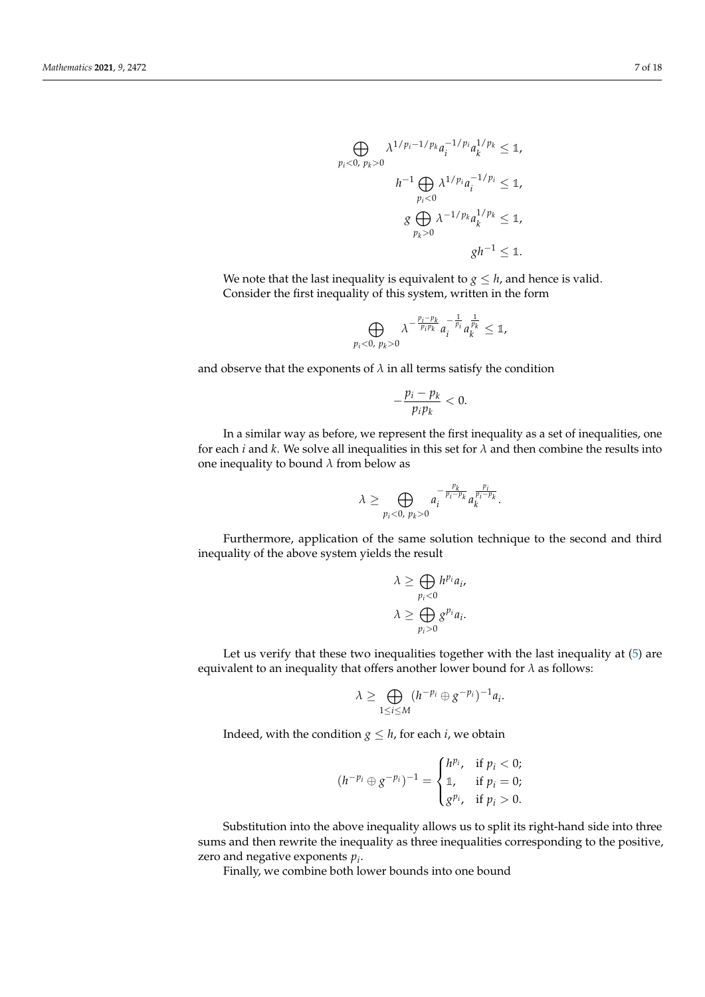$$
\bigoplus_{p_i < 0, \ p_k > 0} \lambda^{1/p_i - 1/p_k} a_i^{-1/p_i} a_k^{1/p_k} \leq 1,
$$
\n
$$
h^{-1} \bigoplus_{p_i < 0} \lambda^{1/p_i} a_i^{-1/p_i} \leq 1,
$$
\n
$$
g \bigoplus_{p_k > 0} \lambda^{-1/p_k} a_k^{1/p_k} \leq 1,
$$
\n
$$
gh^{-1} \leq 1.
$$

We note that the last inequality is equivalent to  $g \leq h$ , and hence is valid. Consider the first inequality of this system, written in the form

$$
\bigoplus_{p_i<0, p_k>0} \lambda^{-\frac{p_i-p_k}{p_i p_k}} a_i^{-\frac{1}{p_i}} a_k^{\frac{1}{p_k}} \leq 1,
$$

and observe that the exponents of  $\lambda$  in all terms satisfy the condition

$$
-\frac{p_i-p_k}{p_i p_k} < 0.
$$

In a similar way as before, we represent the first inequality as a set of inequalities, one for each *i* and *k*. We solve all inequalities in this set for  $\lambda$  and then combine the results into one inequality to bound *λ* from below as

$$
\lambda \geq \bigoplus_{p_i < 0, p_k > 0} a_i^{-\frac{p_k}{p_i - p_k}} a_k^{\frac{p_i}{p_i - p_k}}.
$$

Furthermore, application of the same solution technique to the second and third inequality of the above system yields the result

$$
\lambda \geq \bigoplus_{p_i < 0} h^{p_i} a_i,
$$
\n
$$
\lambda \geq \bigoplus_{p_i > 0} g^{p_i} a_i.
$$

Let us verify that these two inequalities together with the last inequality at  $(5)$  are equivalent to an inequality that offers another lower bound for *λ* as follows:

$$
\lambda \geq \bigoplus_{1 \leq i \leq M} (h^{-p_i} \oplus g^{-p_i})^{-1} a_i.
$$

Indeed, with the condition  $g \leq h$ , for each *i*, we obtain

$$
(h^{-p_i} \oplus g^{-p_i})^{-1} = \begin{cases} h^{p_i}, & \text{if } p_i < 0; \\ \mathbb{1}, & \text{if } p_i = 0; \\ g^{p_i}, & \text{if } p_i > 0. \end{cases}
$$

Substitution into the above inequality allows us to split its right-hand side into three sums and then rewrite the inequality as three inequalities corresponding to the positive, zero and negative exponents *p<sup>i</sup>* .

Finally, we combine both lower bounds into one bound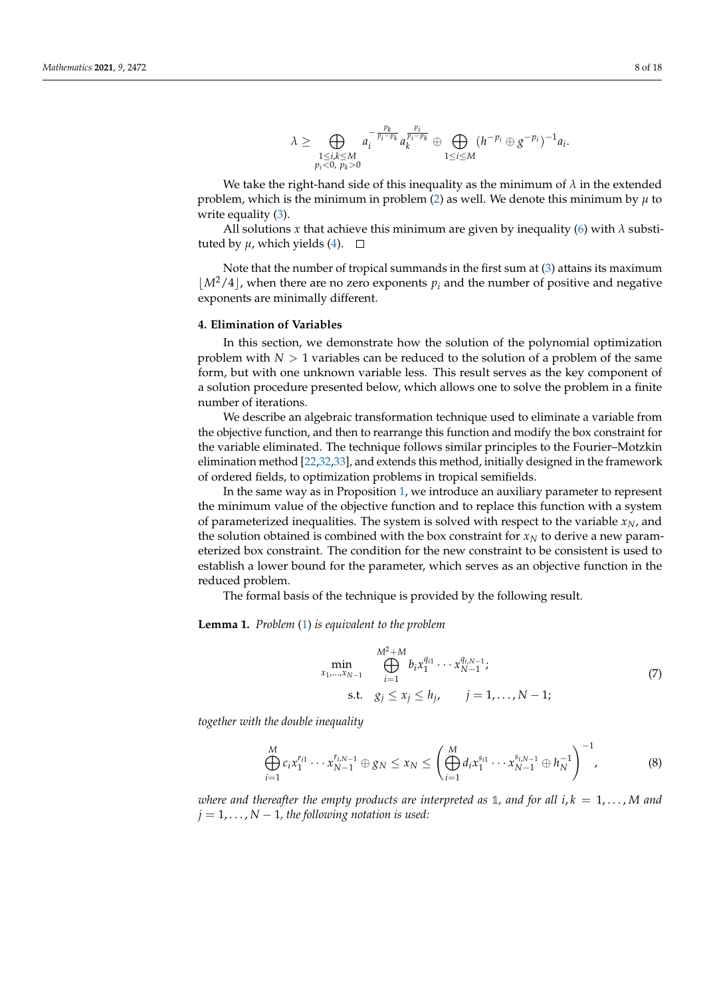$$
\lambda \geq \bigoplus_{\substack{1 \leq i,k \leq M \\ p_i < 0, \ p_k > 0}} a_i^{-\frac{p_k}{p_i - p_k}} a_k^{\frac{p_i}{p_i - p_k}} \oplus \bigoplus_{1 \leq i \leq M} (h^{-p_i} \oplus g^{-p_i})^{-1} a_i.
$$

We take the right-hand side of this inequality as the minimum of  $\lambda$  in the extended problem, which is the minimum in problem [\(2\)](#page-4-1) as well. We denote this minimum by *µ* to write equality [\(3\)](#page-4-2).

All solutions *x* that achieve this minimum are given by inequality [\(6\)](#page-5-1) with  $\lambda$  substituted by  $\mu$ , which yields [\(4\)](#page-4-3).  $\Box$ 

Note that the number of tropical summands in the first sum at [\(3\)](#page-4-2) attains its maximum  $\left\lfloor M^2/4 \right\rfloor$ , when there are no zero exponents  $p_i$  and the number of positive and negative exponents are minimally different.

#### <span id="page-7-0"></span>**4. Elimination of Variables**

In this section, we demonstrate how the solution of the polynomial optimization problem with  $N > 1$  variables can be reduced to the solution of a problem of the same form, but with one unknown variable less. This result serves as the key component of a solution procedure presented below, which allows one to solve the problem in a finite number of iterations.

We describe an algebraic transformation technique used to eliminate a variable from the objective function, and then to rearrange this function and modify the box constraint for the variable eliminated. The technique follows similar principles to the Fourier–Motzkin elimination method [\[22,](#page-16-14)[32,](#page-17-0)[33\]](#page-17-1), and extends this method, initially designed in the framework of ordered fields, to optimization problems in tropical semifields.

In the same way as in Proposition [1,](#page-4-4) we introduce an auxiliary parameter to represent the minimum value of the objective function and to replace this function with a system of parameterized inequalities. The system is solved with respect to the variable *xN*, and the solution obtained is combined with the box constraint for  $x_N$  to derive a new parameterized box constraint. The condition for the new constraint to be consistent is used to establish a lower bound for the parameter, which serves as an objective function in the reduced problem.

The formal basis of the technique is provided by the following result.

**Lemma 1.** *Problem* [\(1\)](#page-4-0) *is equivalent to the problem*

<span id="page-7-1"></span>
$$
\min_{x_1, ..., x_{N-1}} \bigoplus_{i=1}^{M^2+M} b_i x_1^{q_{i1}} \cdots x_{N-1}^{q_{i,N-1}};
$$
\n
$$
\text{s.t.} \quad g_j \le x_j \le h_j, \qquad j = 1, ..., N-1;
$$
\n
$$
(7)
$$

*together with the double inequality*

<span id="page-7-2"></span>
$$
\bigoplus_{i=1}^{M} c_{i} x_{1}^{r_{i1}} \cdots x_{N-1}^{r_{i,N-1}} \oplus g_{N} \leq x_{N} \leq \left( \bigoplus_{i=1}^{M} d_{i} x_{1}^{s_{i1}} \cdots x_{N-1}^{s_{i,N-1}} \oplus h_{N}^{-1} \right)^{-1}, \tag{8}
$$

*where and thereafter the empty products are interpreted as* 1, and for all  $i, k = 1, \ldots, M$  and  $j = 1, \ldots, N - 1$ , the following notation is used: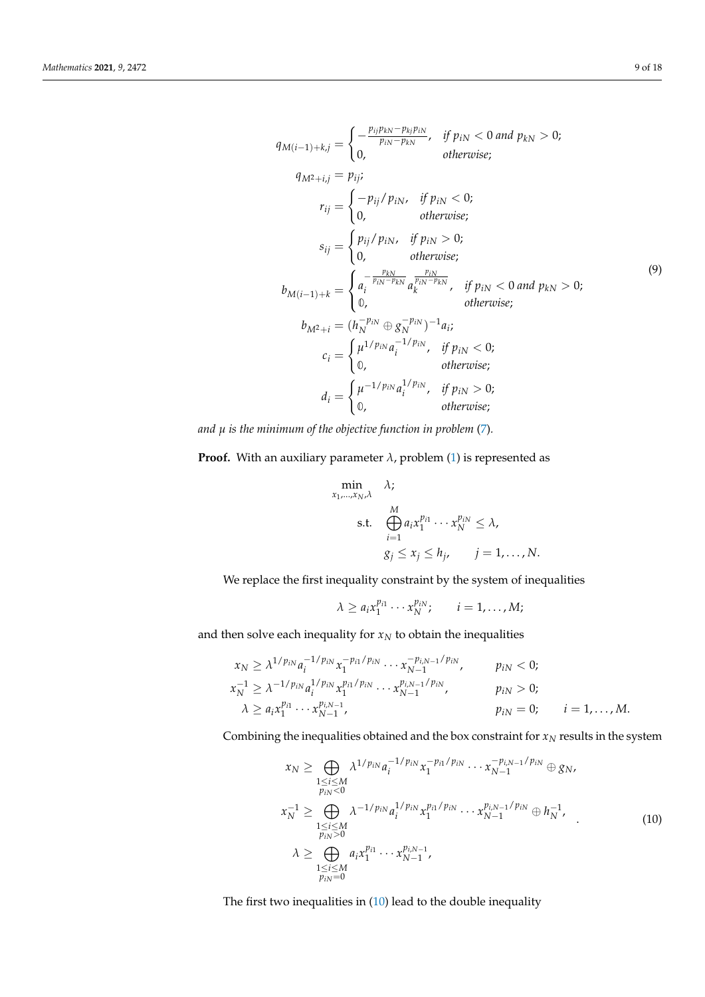<span id="page-8-1"></span>
$$
q_{M(i-1)+k,j} = \begin{cases} -\frac{p_{ij}p_{kN} - p_{kj}p_{iN}}{p_{iN} - p_{kN}}, & \text{if } p_{iN} < 0 \text{ and } p_{kN} > 0; \\ 0, & \text{otherwise}; \end{cases}
$$
  
\n
$$
q_{M^2+i,j} = p_{ij};
$$
  
\n
$$
r_{ij} = \begin{cases} -p_{ij}/p_{iN}, & \text{if } p_{iN} < 0; \\ 0, & \text{otherwise}; \end{cases}
$$
  
\n
$$
s_{ij} = \begin{cases} p_{ij}/p_{iN}, & \text{if } p_{iN} > 0; \\ 0, & \text{otherwise}; \end{cases}
$$
  
\n
$$
b_{M(i-1)+k} = \begin{cases} a_i^{-\frac{p_{iN}}{p_{iN} - p_{kN}}} a_k^{\frac{p_{iN}}{p_{iN} - p_{kN}}}, & \text{if } p_{iN} < 0 \text{ and } p_{kN} > 0; \\ 0, & \text{otherwise}; \end{cases}
$$
  
\n
$$
b_{M^2+i} = (h_N^{-p_{iN}} \oplus g_N^{-p_{iN}})^{-1} a_i;
$$
  
\n
$$
c_i = \begin{cases} \mu^{1/p_{iN}} a_i^{-1/p_{iN}}, & \text{if } p_{iN} < 0; \\ 0, & \text{otherwise}; \end{cases}
$$
  
\n
$$
d_i = \begin{cases} \mu^{-1/p_{iN}} a_i^{1/p_{iN}}, & \text{if } p_{iN} > 0; \\ 0, & \text{otherwise}; \end{cases}
$$

*and µ is the minimum of the objective function in problem* [\(7\)](#page-7-1)*.*

**Proof.** With an auxiliary parameter  $\lambda$ , problem [\(1\)](#page-4-0) is represented as

$$
\min_{x_1, \dots, x_N, \lambda} \lambda;
$$
\n
$$
\sum_{i=1}^M a_i x_1^{p_{i1}} \cdots x_N^{p_{iN}} \le \lambda,
$$
\n
$$
g_j \le x_j \le h_j, \qquad j = 1, \dots, N.
$$

We replace the first inequality constraint by the system of inequalities

$$
\lambda \geq a_i x_1^{p_{i1}} \cdots x_N^{p_{iN}}; \qquad i = 1, \ldots, M;
$$

and then solve each inequality for  $x_N$  to obtain the inequalities

$$
x_N \geq \lambda^{1/p_{iN}} a_i^{-1/p_{iN}} x_1^{-p_{i1}/p_{iN}} \cdots x_{N-1}^{-p_{i,N-1}/p_{iN}}, \qquad p_{iN} < 0; \n x_N^{-1} \geq \lambda^{-1/p_{iN}} a_i^{1/p_{iN}} x_1^{p_{i1}/p_{iN}} \cdots x_{N-1}^{p_{i,N-1}/p_{iN}}, \qquad p_{iN} > 0; \n \lambda \geq a_i x_1^{p_{i1}} \cdots x_{N-1}^{p_{i,N-1}}, \qquad p_{iN} = 0; \qquad i = 1, ..., M.
$$

Combining the inequalities obtained and the box constraint for  $x_N$  results in the system

<span id="page-8-0"></span>
$$
x_N \geq \bigoplus_{\substack{1 \leq i \leq M \\ p_{iN} < 0}} \lambda^{1/p_{iN}} a_i^{-1/p_{iN}} x_1^{-p_{i1}/p_{iN}} \cdots x_{N-1}^{-p_{i,N-1}/p_{iN}} \oplus g_N,
$$
\n
$$
x_N^{-1} \geq \bigoplus_{\substack{1 \leq i \leq M \\ p_{iN} > 0}} \lambda^{-1/p_{iN}} a_i^{1/p_{iN}} x_1^{p_{i1}/p_{iN}} \cdots x_{N-1}^{p_{i,N-1}/p_{iN}} \oplus h_N^{-1},
$$
\n
$$
\lambda \geq \bigoplus_{\substack{1 \leq i \leq M \\ p_{iN} = 0}} a_i x_1^{p_{i1}} \cdots x_{N-1}^{p_{i,N-1}},
$$
\n(10)

The first two inequalities in [\(10\)](#page-8-0) lead to the double inequality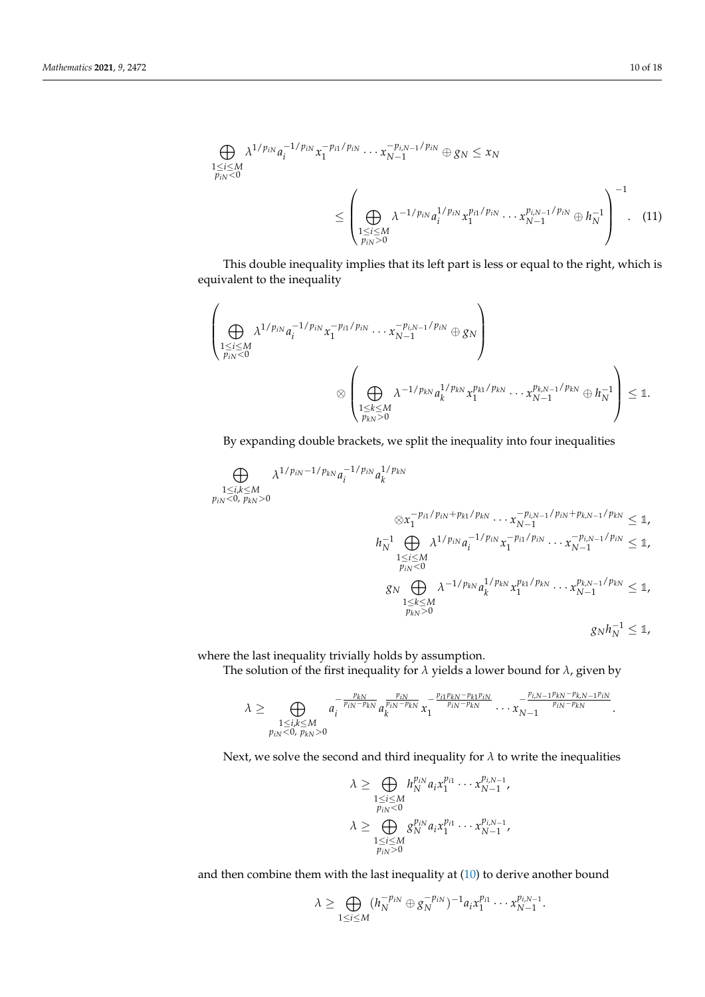<span id="page-9-0"></span>
$$
\bigoplus_{\substack{1 \le i \le M \\ p_{iN} < 0}} \lambda^{1/p_{iN}} a_i^{-1/p_{iN}} x_1^{-p_{i1}/p_{iN}} \cdots x_{N-1}^{-p_{i,N-1}/p_{iN}} \oplus g_N \le x_N
$$
\n
$$
\le \left( \bigoplus_{\substack{1 \le i \le M \\ p_{iN} > 0}} \lambda^{-1/p_{iN}} a_i^{1/p_{iN}} x_1^{p_{i1}/p_{iN}} \cdots x_{N-1}^{p_{i,N-1}/p_{iN}} \oplus h_N^{-1} \right)^{-1} . \tag{11}
$$

This double inequality implies that its left part is less or equal to the right, which is equivalent to the inequality

$$
\left(\bigoplus_{\substack{1 \leq i \leq M \\ p_{iN} < 0}} \lambda^{1/p_{iN}} a_i^{-1/p_{iN}} x_1^{-p_{i1}/p_{iN}} \cdots x_{N-1}^{-p_{i,N-1}/p_{iN}} \oplus g_N\right) \newline \otimes \left(\bigoplus_{\substack{1 \leq i \leq M \\ p_{kN} > 0}} \lambda^{-1/p_{kN}} a_k^{1/p_{kN}} x_1^{p_{k1}/p_{kN}} \cdots x_{N-1}^{p_{k,N-1}/p_{kN}} \oplus h_N^{-1}\right) \leq \mathbb{1}.
$$

By expanding double brackets, we split the inequality into four inequalities

$$
\bigoplus_{\substack{1 \le i,k \le M \\ p_{iN} < 0, p_{kN} > 0}} \lambda^{1/p_{iN} - 1/p_{kN}} a_i^{-1/p_{iN}} a_k^{1/p_{kN}} \\
\otimes x_1^{-p_{i1}/p_{iN} + p_{k1}/p_{kN}} \cdots x_{N-1}^{-p_{i,N-1}/p_{iN} + p_{k,N-1}/p_{kN}} \le 1,
$$
\n
$$
h_N^{-1} \bigoplus_{\substack{1 \le i \le M \\ p_{iN} < 0}} \lambda^{1/p_{iN}} a_i^{-1/p_{iN}} x_1^{-p_{i1}/p_{iN}} \cdots x_{N-1}^{-p_{i,N-1}/p_{iN}} \le 1,
$$
\n
$$
g_N \bigoplus_{\substack{1 \le k \le M \\ p_{kN} > 0}} \lambda^{-1/p_{kN}} a_k^{1/p_{kN}} x_1^{p_{k1}/p_{kN}} \cdots x_{N-1}^{p_{k,N-1}/p_{kN}} \le 1,
$$
\n
$$
g_N h_N^{-1} \le 1,
$$

where the last inequality trivially holds by assumption.

The solution of the first inequality for *λ* yields a lower bound for *λ*, given by

$$
\lambda \geq \bigoplus_{\substack{1 \leq i,k \leq M \\ p_{iN} < 0, \ p_{kN} > 0}} a_i^{-\frac{p_{kN}}{p_{iN}-p_{kN}}} a_k^{\frac{p_{iN}}{p_{iN}-p_{kN}}} x_1^{-\frac{p_{i1}p_{kN}-p_{k1}p_{iN}}{p_{iN}-p_{kN}}} \cdots x_{N-1}^{-\frac{p_{i,N-1}p_{kN}-p_{k,N-1}p_{iN}}{p_{iN}-p_{kN}}}.
$$

Next, we solve the second and third inequality for  $\lambda$  to write the inequalities

$$
\lambda \geq \bigoplus_{\substack{1 \leq i \leq M \\ p_{iN} < 0 \\ 1 \leq i \leq M}} h_N^{p_{iN}} a_i x_1^{p_{i1}} \cdots x_{N-1}^{p_{i,N-1}},
$$
\n
$$
\lambda \geq \bigoplus_{\substack{1 \leq i \leq M \\ p_{iN} > 0}} g_N^{p_{iN}} a_i x_1^{p_{i1}} \cdots x_{N-1}^{p_{i,N-1}},
$$

and then combine them with the last inequality at [\(10\)](#page-8-0) to derive another bound

$$
\lambda \geq \bigoplus_{1 \leq i \leq M} (h_N^{-p_{iN}} \oplus g_N^{-p_{iN}})^{-1} a_i x_1^{p_{i1}} \cdots x_{N-1}^{p_{i,N-1}}.
$$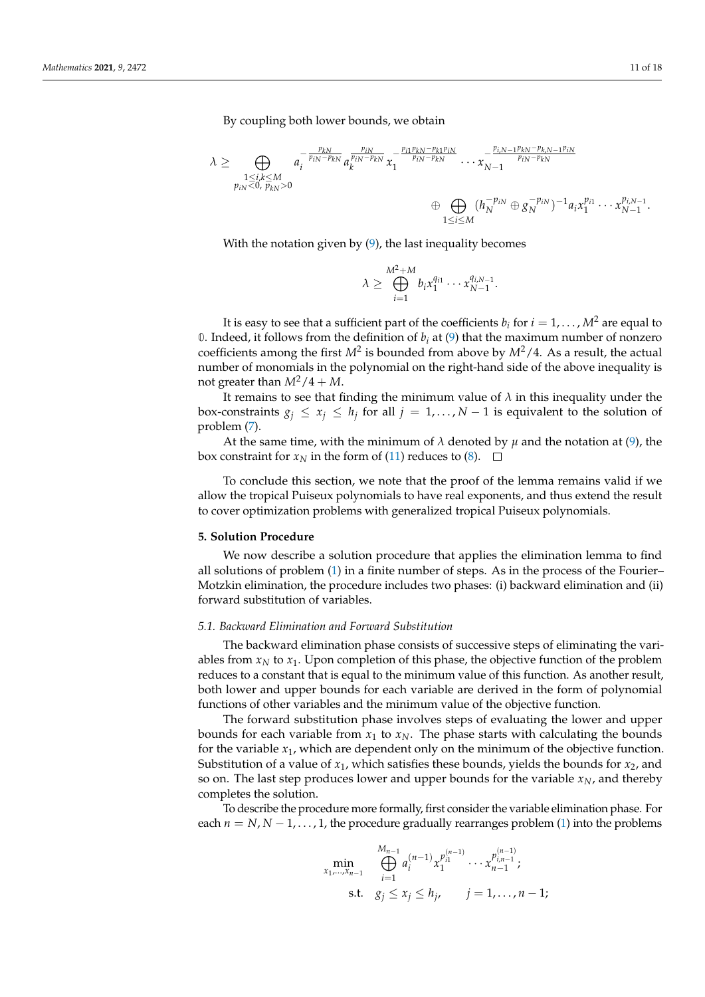By coupling both lower bounds, we obtain

$$
\lambda \geq \bigoplus_{\substack{1 \leq i,k \leq M \\ p_{iN} < 0, \ p_{kN} > 0}} a_i^{-\frac{p_{kN}}{p_{iN} - p_{kN}}} a_k^{\frac{p_{iN}}{p_{iN} - p_{kN}}} x_1^{-\frac{p_{i1}p_{kN} - p_{k1}p_{iN}}{p_{iN} - p_{kN}}} \cdots x_{N-1}^{-\frac{p_{i,N-1}p_{kN} - p_{kN-1}p_{iN}}{p_{iN} - p_{kN}}} \newline \qquad \oplus \bigoplus_{\substack{1 \leq i \leq M \\ 1 \leq i \leq M}} (h_N^{-p_{iN}} \oplus g_N^{-p_{iN}})^{-1} a_i x_1^{p_{i1}} \cdots x_{N-1}^{p_{i,N-1}}.
$$

With the notation given by  $(9)$ , the last inequality becomes

$$
\lambda \geq \bigoplus_{i=1}^{M^2+M} b_i x_1^{q_{i1}} \cdots x_{N-1}^{q_{i,N-1}}.
$$

It is easy to see that a sufficient part of the coefficients  $b_i$  for  $i=1,\ldots,M^2$  are equal to 0. Indeed, it follows from the definition of  $b_i$  at [\(9\)](#page-8-1) that the maximum number of nonzero coefficients among the first  $M^2$  is bounded from above by  $M^2/4$ . As a result, the actual number of monomials in the polynomial on the right-hand side of the above inequality is not greater than  $M^2/4 + M$ .

It remains to see that finding the minimum value of  $\lambda$  in this inequality under the box-constraints  $g_j \leq x_j \leq h_j$  for all  $j = 1, ..., N-1$  is equivalent to the solution of problem [\(7\)](#page-7-1).

At the same time, with the minimum of  $\lambda$  denoted by  $\mu$  and the notation at [\(9\)](#page-8-1), the box constraint for  $x_N$  in the form of [\(11\)](#page-9-0) reduces to [\(8\)](#page-7-2).  $\Box$ 

To conclude this section, we note that the proof of the lemma remains valid if we allow the tropical Puiseux polynomials to have real exponents, and thus extend the result to cover optimization problems with generalized tropical Puiseux polynomials.

# <span id="page-10-0"></span>**5. Solution Procedure**

We now describe a solution procedure that applies the elimination lemma to find all solutions of problem [\(1\)](#page-4-0) in a finite number of steps. As in the process of the Fourier– Motzkin elimination, the procedure includes two phases: (i) backward elimination and (ii) forward substitution of variables.

#### *5.1. Backward Elimination and Forward Substitution*

The backward elimination phase consists of successive steps of eliminating the variables from  $x_N$  to  $x_1$ . Upon completion of this phase, the objective function of the problem reduces to a constant that is equal to the minimum value of this function. As another result, both lower and upper bounds for each variable are derived in the form of polynomial functions of other variables and the minimum value of the objective function.

The forward substitution phase involves steps of evaluating the lower and upper bounds for each variable from  $x_1$  to  $x_N$ . The phase starts with calculating the bounds for the variable  $x_1$ , which are dependent only on the minimum of the objective function. Substitution of a value of  $x_1$ , which satisfies these bounds, yields the bounds for  $x_2$ , and so on. The last step produces lower and upper bounds for the variable  $x_N$ , and thereby completes the solution.

To describe the procedure more formally, first consider the variable elimination phase. For each  $n = N, N - 1, \ldots, 1$ , the procedure gradually rearranges problem [\(1\)](#page-4-0) into the problems

$$
\min_{x_1,\dots,x_{n-1}} \bigoplus_{i=1}^{M_{n-1}} a_i^{(n-1)} x_1^{p_{i1}^{(n-1)}} \cdots x_{n-1}^{p_{i,n-1}^{(n-1)}};
$$
\n
$$
\text{s.t.} \quad g_j \le x_j \le h_j, \qquad j = 1,\dots, n-1;
$$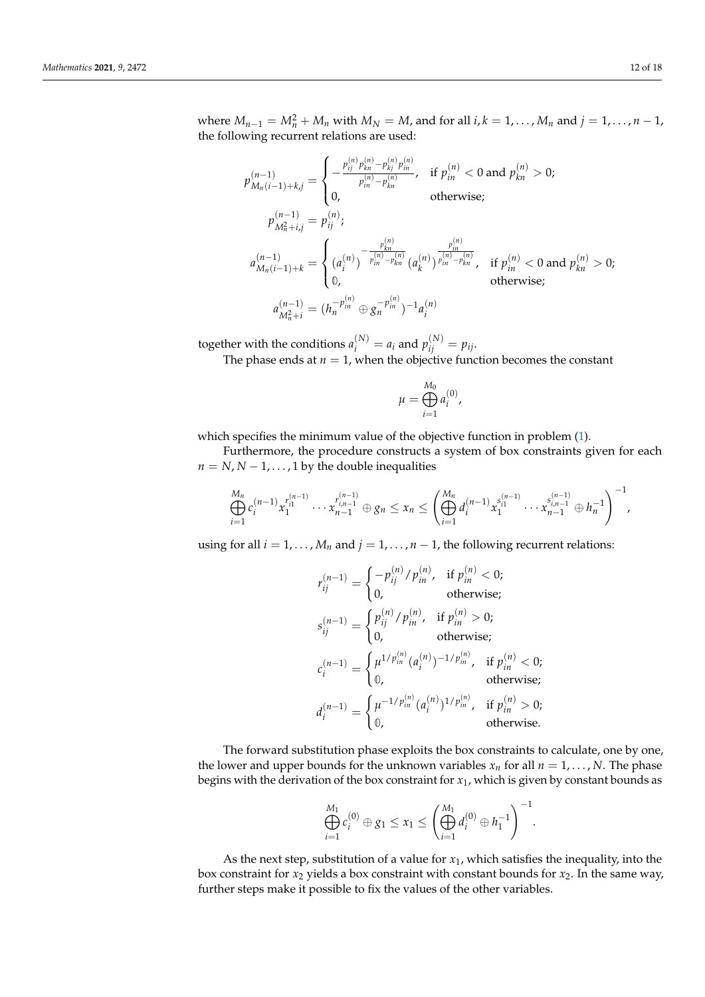where  $M_{n-1} = M_n^2 + M_n$  with  $M_N = M$ , and for all  $i, k = 1, ..., M_n$  and  $j = 1, ..., n-1$ , the following recurrent relations are used:

$$
p_{M_n(i-1)+k,j}^{(n-1)} = \begin{cases} -\frac{p_{ij}^{(n)} p_{kn}^{(n)} - p_{kj}^{(n)} p_{in}^{(n)}}{p_{in}^{(n)} - p_{kn}^{(n)}}, & \text{if } p_{in}^{(n)} < 0 \text{ and } p_{kn}^{(n)} > 0; \\ 0, & \text{otherwise}; \end{cases}
$$
  
\n
$$
p_{M_n^2+i,j}^{(n-1)} = p_{ij}^{(n)};
$$
  
\n
$$
a_{M_n(i-1)+k}^{(n-1)} = \begin{cases} a_n^{(n)} - \frac{p_{kn}^{(n)}}{p_{in}^{(n)} - p_{kn}^{(n)}} (a_k^{(n)})^{\frac{p_{in}^{(n)}}{p_{in}^{(n)} - p_{kn}^{(n)}}}, & \text{if } p_{in}^{(n)} < 0 \text{ and } p_{kn}^{(n)} > 0; \\ 0, & \text{otherwise}; \end{cases}
$$
  
\n
$$
a_{M_n^2+i}^{(n-1)} = (h_n^{-p_{in}^{(n)}} \oplus g_n^{-p_{in}^{(n)}})^{-1} a_i^{(n)}
$$

together with the conditions  $a_i^{(N)} = a_i$  and  $p_{ij}^{(N)} = p_{ij}$ .

The phase ends at  $n = 1$ , when the objective function becomes the constant

$$
\mu = \bigoplus_{i=1}^{M_0} a_i^{(0)},
$$

which specifies the minimum value of the objective function in problem [\(1\)](#page-4-0).

Furthermore, the procedure constructs a system of box constraints given for each  $n = N$ ,  $N - 1$ , ..., 1 by the double inequalities

$$
\bigoplus_{i=1}^{M_n} c_i^{(n-1)} x_1^{r_{i1}^{(n-1)}} \cdots x_{n-1}^{r_{i,n-1}^{(n-1)}} \oplus g_n \leq x_n \leq \left( \bigoplus_{i=1}^{M_n} d_i^{(n-1)} x_1^{s_{i1}^{(n-1)}} \cdots x_{n-1}^{s_{i,n-1}^{(n-1)}} \oplus h_n^{-1} \right)^{-1},
$$

using for all  $i = 1, ..., M_n$  and  $j = 1, ..., n - 1$ , the following recurrent relations:

$$
r_{ij}^{(n-1)} = \begin{cases} -p_{ij}^{(n)}/p_{in}^{(n)}, & \text{if } p_{in}^{(n)} < 0; \\ 0, & \text{otherwise}; \end{cases}
$$
  
\n
$$
s_{ij}^{(n-1)} = \begin{cases} p_{ij}^{(n)}/p_{in}^{(n)}, & \text{if } p_{in}^{(n)} > 0; \\ 0, & \text{otherwise}; \end{cases}
$$
  
\n
$$
c_i^{(n-1)} = \begin{cases} \mu^{1/p_{in}^{(n)}}(a_i^{(n)})^{-1/p_{in}^{(n)}, & \text{if } p_{in}^{(n)} < 0; \\ 0, & \text{otherwise}; \end{cases}
$$
  
\n
$$
d_i^{(n-1)} = \begin{cases} \mu^{-1/p_{in}^{(n)}}(a_i^{(n)})^{1/p_{in}^{(n)}, & \text{if } p_{in}^{(n)} > 0; \\ 0, & \text{otherwise}. \end{cases}
$$

The forward substitution phase exploits the box constraints to calculate, one by one, the lower and upper bounds for the unknown variables  $x_n$  for all  $n = 1, \ldots, N$ . The phase begins with the derivation of the box constraint for *x*1, which is given by constant bounds as

$$
\bigoplus_{i=1}^{M_1} c_i^{(0)} \oplus g_1 \le x_1 \le \left(\bigoplus_{i=1}^{M_1} d_i^{(0)} \oplus h_1^{-1}\right)^{-1}.
$$

As the next step, substitution of a value for  $x_1$ , which satisfies the inequality, into the box constraint for *x*<sup>2</sup> yields a box constraint with constant bounds for *x*2. In the same way, further steps make it possible to fix the values of the other variables.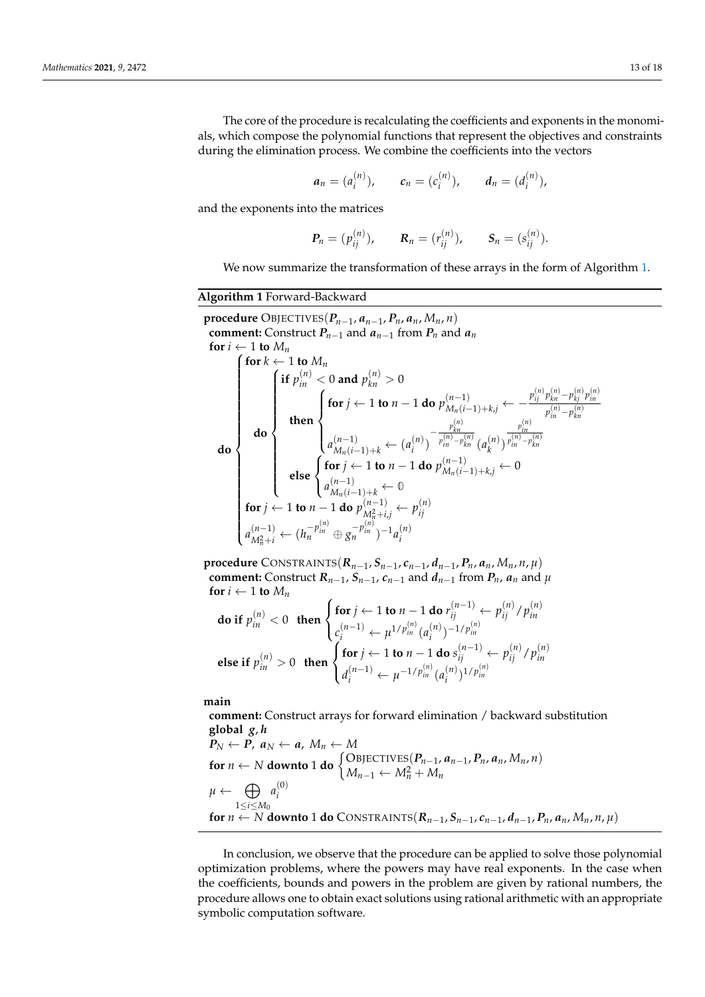The core of the procedure is recalculating the coefficients and exponents in the monomials, which compose the polynomial functions that represent the objectives and constraints during the elimination process. We combine the coefficients into the vectors

$$
a_n = (a_i^{(n)}),
$$
  $c_n = (c_i^{(n)}),$   $d_n = (d_i^{(n)}),$ 

and the exponents into the matrices

$$
P_n = (p_{ij}^{(n)})
$$
,  $R_n = (r_{ij}^{(n)})$ ,  $S_n = (s_{ij}^{(n)})$ .

We now summarize the transformation of these arrays in the form of Algorithm [1.](#page-12-0)

# <span id="page-12-0"></span>**Algorithm 1** Forward-Backward

 $\mathbf{procedure}$  OBJECTIVES $(P_{n-1}, a_{n-1}, P_n, a_n, M_n, n)$ **comment:** Construct  $P_{n-1}$  and  $a_{n-1}$  from  $P_n$  and  $a_n$ **for**  $i \leftarrow 1$  **to**  $M_n$ **do**  $\int$  **for**  $k \leftarrow 1$  **to**  $M_n$  $\begin{array}{c} \hline \end{array}$  $\begin{array}{c} \hline \rule{0pt}{2.2ex} \rule{0pt}{2.2ex} \rule{0pt}{2.2ex} \rule{0pt}{2.2ex} \rule{0pt}{2.2ex} \rule{0pt}{2.2ex} \rule{0pt}{2.2ex} \rule{0pt}{2.2ex} \rule{0pt}{2.2ex} \rule{0pt}{2.2ex} \rule{0pt}{2.2ex} \rule{0pt}{2.2ex} \rule{0pt}{2.2ex} \rule{0pt}{2.2ex} \rule{0pt}{2.2ex} \rule{0pt}{2.2ex} \rule{0pt}{2.2ex} \rule{0pt}{2.2ex} \rule{0pt}{2.2ex} \$ **do** *f* **if**  $p_{in}^{(n)} < 0$  and  $p_{kn}^{(n)} > 0$  $\begin{array}{c} \hline \end{array}$  $\begin{array}{c} \hline \end{array}$ **then**  $\sqrt{ }$  $\int$  $\overline{\mathcal{L}}$ for  $j \leftarrow 1$  to  $n-1$  do  $p_{M_n(i-1)+kj}^{(n-1)} \leftarrow -\frac{p_{ij}^{(n)} p_{kn}^{(n)} - p_{kj}^{(n)} p_{in}^{(n)}}{p_{ij}^{(n)} - p_{kj}^{(n)}}$  $p_{in}^{(n)} - p_{kn}^{(n)}$  $a_{M_n(i-1)+k}^{(n-1)}$  ←  $(a_i^{(n)}$  $\binom{n}{i}$  $-\frac{p_{kn}^{(n)}}{p_{kn}^{(n)}}$  $p_{in}^{(n)} - p_{kn}^{(n)}$  (*a*<sub>k</sub><sup>(*n*)</sup>)  $\binom{n}{k}$ *p* (*n*) *in*  $p_{in}^{(n)}-p_{kn}^{(n)}$ **else**  $\sqrt{ }$ J  $\mathcal{L}$  $\mathbf{for} \ j \leftarrow 1 \textbf{ to } n-1 \textbf{ do } p_{M_n(i-1)+k,j}^{(n-1)} \leftarrow 0$  $a_{M_n(i-1)+k}^{(n-1)} \leftarrow \mathbb{0}$ **for** *j* ← 1 **to** *n* − 1 **do**  $p_{M^{2}+i}^{(n-1)}$  $p_{ni}^{(n-1)} \leftarrow p_{ij}^{(n)}$ *ij*  $a^{(n-1)}_{\lambda_1}$  $\left(h_{M_n^2+i}^{-1} \leftarrow \left(h_n^{-p_{in}^{(n)}} \oplus g_n^{-p_{in}^{(n)}}\right)^{-1} a_i^{(n)}\right)$ *i*

**procedure** CONSTRAINTS( $R_{n-1}$ ,  $S_{n-1}$ ,  $c_{n-1}$ ,  $d_{n-1}$ ,  $P_n$ ,  $a_n$ ,  $M_n$ ,  $n$ ,  $\mu$ ) **comment:** Construct  $R_{n-1}$ ,  $S_{n-1}$ ,  $c_{n-1}$  and  $d_{n-1}$  from  $P_n$ ,  $a_n$  and  $\mu$ **for**  $i \leftarrow 1$  **to**  $M_n$ 

$$
\text{do if } p_{in}^{(n)} < 0 \quad \text{then } \begin{cases} \text{for } j \leftarrow 1 \text{ to } n-1 \text{ do } r_{ij}^{(n-1)} \leftarrow p_{ij}^{(n)} / p_{in}^{(n)} \\ c_i^{(n-1)} \leftarrow \mu^{1/p_{in}^{(n)}} (a_i^{(n)})^{-1/p_{in}^{(n)}} \end{cases}
$$
\n
$$
\text{else if } p_{in}^{(n)} > 0 \quad \text{then } \begin{cases} \text{for } j \leftarrow 1 \text{ to } n-1 \text{ do } s_{ij}^{(n-1)} \leftarrow p_{ij}^{(n)} / p_{in}^{(n)} \\ d_i^{(n-1)} \leftarrow \mu^{-1/p_{in}^{(n)}} (a_i^{(n)})^{1/p_{in}^{(n)}} \end{cases}
$$

**main**

**comment:** Construct arrays for forward elimination / backward substitution **global**  $g, h$ <br>  $P_N \leftarrow P, a_N \leftarrow a, M_n \leftarrow M$  $P_N \leftarrow P$ ,  $a_N \leftarrow a$ ,  $M_n \leftarrow M$ **for**  $n \leftarrow N$  **downto** 1 **do**  $\begin{cases} \text{OBJECTIVES}(P_{n-1}, a_{n-1}, P_n, a_n, M_n, n) \\ M & M^2 + M \end{cases}$  $M_{n-1} \leftarrow M_n^2 + M_n$  $\mu \leftarrow \Theta$ 1≤*i*≤*M*<sup>0</sup>  $a_i^{(0)}$ *i*

**for** *n* ← *N* **downto** 1 **do** CONSTRAINTS( $R_{n-1}$ ,  $S_{n-1}$ ,  $c_{n-1}$ ,  $d_{n-1}$ ,  $P_n$ ,  $a_n$ ,  $M_n$ ,  $n, \mu$ )

In conclusion, we observe that the procedure can be applied to solve those polynomial optimization problems, where the powers may have real exponents. In the case when the coefficients, bounds and powers in the problem are given by rational numbers, the procedure allows one to obtain exact solutions using rational arithmetic with an appropriate symbolic computation software.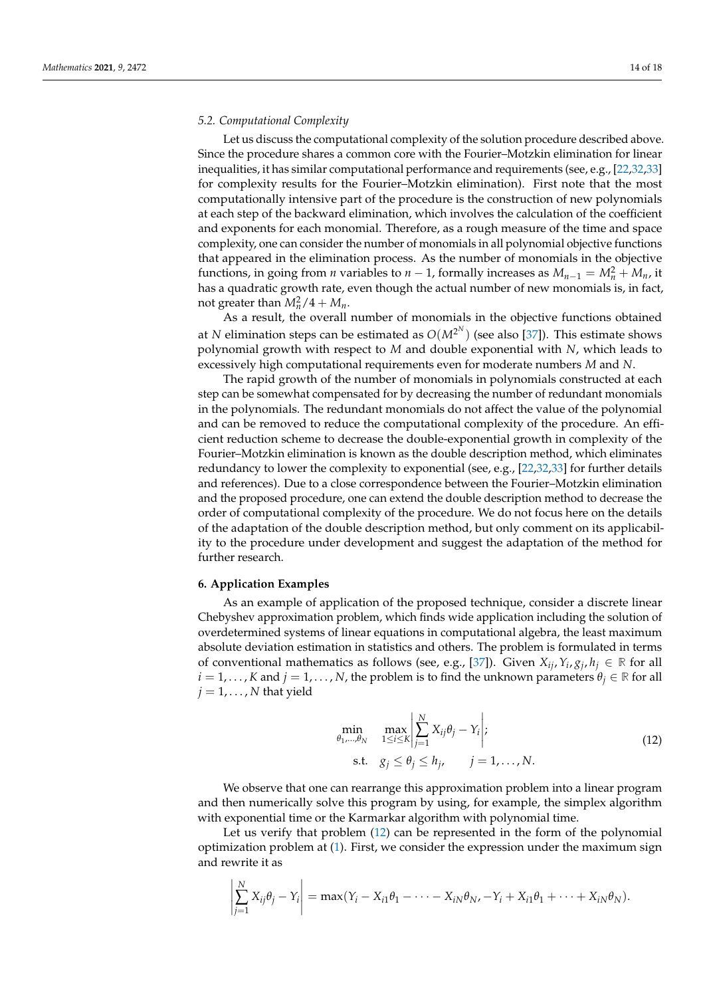### *5.2. Computational Complexity*

Let us discuss the computational complexity of the solution procedure described above. Since the procedure shares a common core with the Fourier–Motzkin elimination for linear inequalities, it has similar computational performance and requirements (see, e.g., [\[22,](#page-16-14)[32,](#page-17-0)[33\]](#page-17-1) for complexity results for the Fourier–Motzkin elimination). First note that the most computationally intensive part of the procedure is the construction of new polynomials at each step of the backward elimination, which involves the calculation of the coefficient and exponents for each monomial. Therefore, as a rough measure of the time and space complexity, one can consider the number of monomials in all polynomial objective functions that appeared in the elimination process. As the number of monomials in the objective functions, in going from *n* variables to *n* − 1, formally increases as  $M_{n-1} = M_n^2 + M_n$ , it has a quadratic growth rate, even though the actual number of new monomials is, in fact, not greater than  $M_n^2/4 + M_n$ .

As a result, the overall number of monomials in the objective functions obtained at *N* elimination steps can be estimated as  $O(M^{2^N})$  (see also [\[37\]](#page-17-5)). This estimate shows polynomial growth with respect to *M* and double exponential with *N*, which leads to excessively high computational requirements even for moderate numbers *M* and *N*.

The rapid growth of the number of monomials in polynomials constructed at each step can be somewhat compensated for by decreasing the number of redundant monomials in the polynomials. The redundant monomials do not affect the value of the polynomial and can be removed to reduce the computational complexity of the procedure. An efficient reduction scheme to decrease the double-exponential growth in complexity of the Fourier–Motzkin elimination is known as the double description method, which eliminates redundancy to lower the complexity to exponential (see, e.g., [\[22](#page-16-14)[,32](#page-17-0)[,33\]](#page-17-1) for further details and references). Due to a close correspondence between the Fourier–Motzkin elimination and the proposed procedure, one can extend the double description method to decrease the order of computational complexity of the procedure. We do not focus here on the details of the adaptation of the double description method, but only comment on its applicability to the procedure under development and suggest the adaptation of the method for further research.

#### <span id="page-13-0"></span>**6. Application Examples**

As an example of application of the proposed technique, consider a discrete linear Chebyshev approximation problem, which finds wide application including the solution of overdetermined systems of linear equations in computational algebra, the least maximum absolute deviation estimation in statistics and others. The problem is formulated in terms of conventional mathematics as follows (see, e.g., [\[37\]](#page-17-5)). Given  $X_{ij}$ ,  $Y_i$ ,  $g_j$ ,  $h_j \in \mathbb{R}$  for all  $i = 1, \ldots, K$  and  $j = 1, \ldots, N$ , the problem is to find the unknown parameters  $\theta_i \in \mathbb{R}$  for all  $j = 1, \ldots, N$  that yield

<span id="page-13-1"></span>
$$
\min_{\theta_1,\dots,\theta_N} \max_{1 \le i \le K} \left| \sum_{j=1}^N X_{ij} \theta_j - Y_i \right|;
$$
\n
$$
\text{s.t.} \quad g_j \le \theta_j \le h_j, \qquad j = 1, \dots, N. \tag{12}
$$

We observe that one can rearrange this approximation problem into a linear program and then numerically solve this program by using, for example, the simplex algorithm with exponential time or the Karmarkar algorithm with polynomial time.

Let us verify that problem [\(12\)](#page-13-1) can be represented in the form of the polynomial optimization problem at [\(1\)](#page-4-0). First, we consider the expression under the maximum sign and rewrite it as

$$
\left|\sum_{j=1}^N X_{ij}\theta_j - Y_i\right| = \max(Y_i - X_{i1}\theta_1 - \cdots - X_{iN}\theta_N, -Y_i + X_{i1}\theta_1 + \cdots + X_{iN}\theta_N).
$$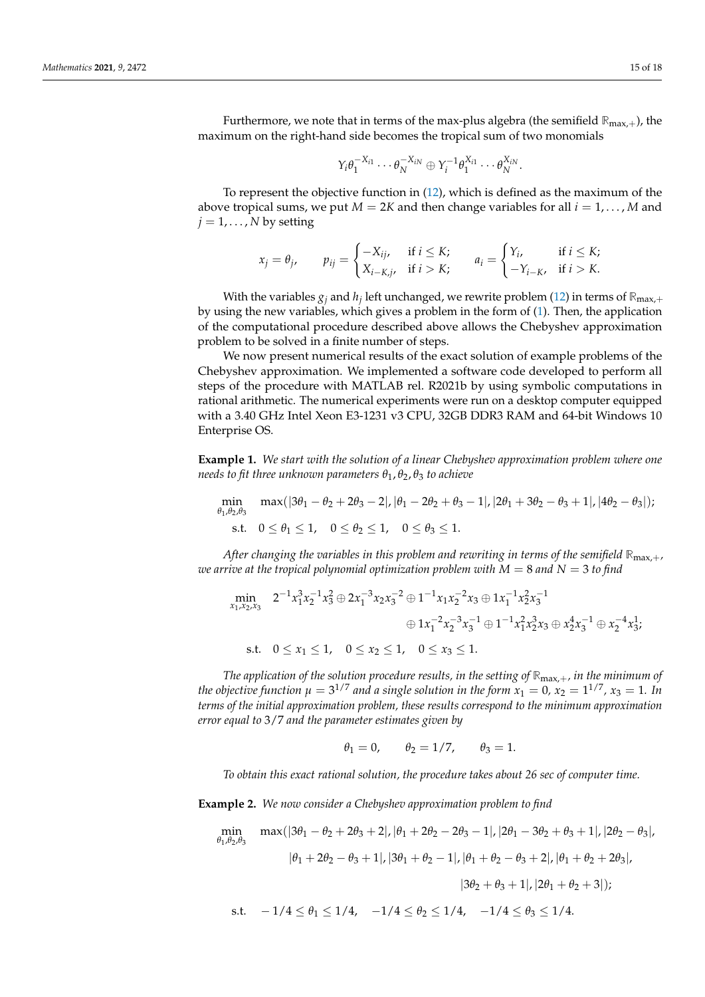Furthermore, we note that in terms of the max-plus algebra (the semifield **R**max,+), the maximum on the right-hand side becomes the tropical sum of two monomials

$$
Y_i\theta_1^{-X_{i1}}\cdots\theta_N^{-X_{iN}}\oplus Y_i^{-1}\theta_1^{X_{i1}}\cdots\theta_N^{X_{iN}}.
$$

To represent the objective function in [\(12\)](#page-13-1), which is defined as the maximum of the above tropical sums, we put  $M = 2K$  and then change variables for all  $i = 1, \dots, M$  and  $j = 1, \ldots, N$  by setting

$$
x_j = \theta_j, \qquad p_{ij} = \begin{cases} -X_{ij}, & \text{if } i \leq K; \\ X_{i-K,j}, & \text{if } i > K; \end{cases} \qquad a_i = \begin{cases} Y_i, & \text{if } i \leq K; \\ -Y_{i-K}, & \text{if } i > K. \end{cases}
$$

With the variables  $g_j$  and  $h_j$  left unchanged, we rewrite problem [\(12\)](#page-13-1) in terms of  $\mathbb{R}_{\max,+}$ by using the new variables, which gives a problem in the form of [\(1\)](#page-4-0). Then, the application of the computational procedure described above allows the Chebyshev approximation problem to be solved in a finite number of steps.

We now present numerical results of the exact solution of example problems of the Chebyshev approximation. We implemented a software code developed to perform all steps of the procedure with MATLAB rel. R2021b by using symbolic computations in rational arithmetic. The numerical experiments were run on a desktop computer equipped with a 3.40 GHz Intel Xeon E3-1231 v3 CPU, 32GB DDR3 RAM and 64-bit Windows 10 Enterprise OS.

**Example 1.** *We start with the solution of a linear Chebyshev approximation problem where one needs to fit three unknown parameters θ*1, *θ*2, *θ*<sup>3</sup> *to achieve*

$$
\begin{aligned} \min_{\theta_1,\theta_2,\theta_3}\quad & \max(|3\theta_1-\theta_2+2\theta_3-2|,|\theta_1-2\theta_2+\theta_3-1|,|2\theta_1+3\theta_2-\theta_3+1|,|4\theta_2-\theta_3|);\\ \text{s.t.}\quad & 0\leq\theta_1\leq 1,\quad 0\leq\theta_2\leq 1,\quad 0\leq\theta_3\leq 1. \end{aligned}
$$

*After changing the variables in this problem and rewriting in terms of the semifield*  $\mathbb{R}_{max}$ , *we arrive at the tropical polynomial optimization problem with*  $M = 8$  *and*  $N = 3$  *to find* 

$$
\begin{aligned}\n\min_{x_1, x_2, x_3} \quad & 2^{-1} x_1^3 x_2^{-1} x_3^2 \oplus 2x_1^{-3} x_2 x_3^{-2} \oplus 1^{-1} x_1 x_2^{-2} x_3 \oplus 1x_1^{-1} x_2^2 x_3^{-1} \\
& \quad \oplus 1 x_1^{-2} x_2^{-3} x_3^{-1} \oplus 1^{-1} x_1^2 x_2^3 x_3 \oplus x_2^4 x_3^{-1} \oplus x_2^{-4} x_3^1; \\
\text{s.t.} \quad & 0 \le x_1 \le 1, \quad 0 \le x_2 \le 1, \quad 0 \le x_3 \le 1.\n\end{aligned}
$$

*The application of the solution procedure results, in the setting of* **R**max,+*, in the minimum of the objective function*  $\mu = 3^{1/7}$  *and a single solution in the form*  $x_1 = 0$ *,*  $x_2 = 1^{1/7}$ *,*  $x_3 = 1$ *. In terms of the initial approximation problem, these results correspond to the minimum approximation error equal to* 3/7 *and the parameter estimates given by*

$$
\theta_1 = 0, \qquad \theta_2 = 1/7, \qquad \theta_3 = 1.
$$

*To obtain this exact rational solution, the procedure takes about 26 sec of computer time.*

**Example 2.** *We now consider a Chebyshev approximation problem to find*

$$
\min_{\theta_1, \theta_2, \theta_3} \max(|3\theta_1 - \theta_2 + 2\theta_3 + 2|, |\theta_1 + 2\theta_2 - 2\theta_3 - 1|, |2\theta_1 - 3\theta_2 + \theta_3 + 1|, |2\theta_2 - \theta_3|,
$$
  
\n
$$
|\theta_1 + 2\theta_2 - \theta_3 + 1|, |3\theta_1 + \theta_2 - 1|, |\theta_1 + \theta_2 - \theta_3 + 2|, |\theta_1 + \theta_2 + 2\theta_3|,
$$
  
\n
$$
|3\theta_2 + \theta_3 + 1|, |2\theta_1 + \theta_2 + 3|);
$$
  
\ns.t.  $-1/4 \le \theta_1 \le 1/4, -1/4 \le \theta_2 \le 1/4, -1/4 \le \theta_3 \le 1/4.$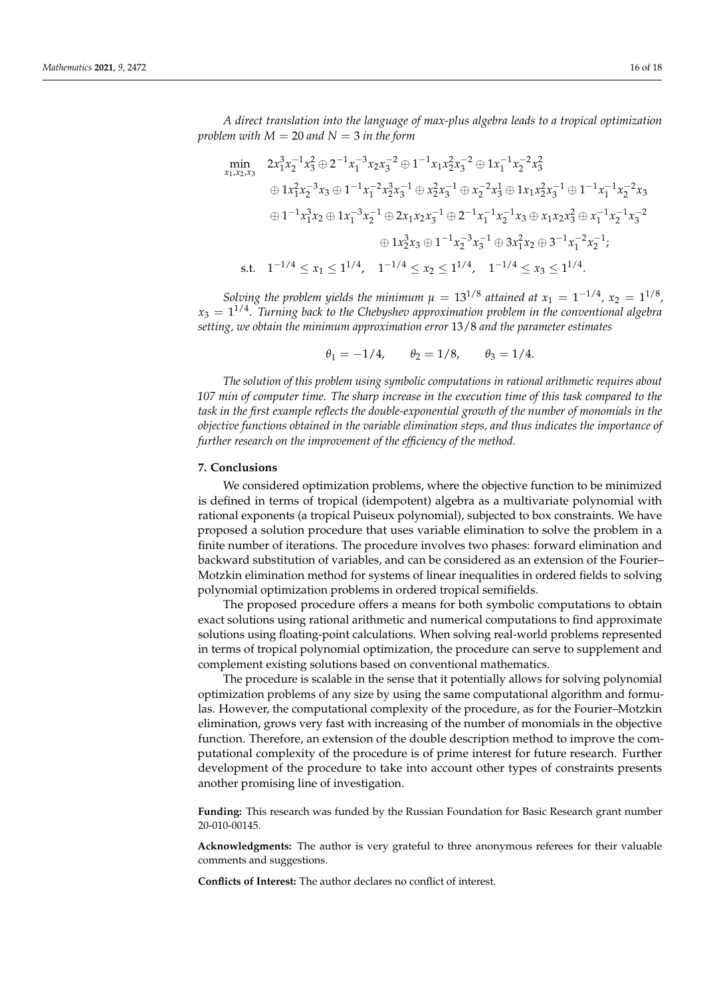*A direct translation into the language of max-plus algebra leads to a tropical optimization problem with*  $M = 20$  *and*  $N = 3$  *in the form* 

$$
\begin{aligned}\n\min_{x_1, x_2, x_3} & 2x_1^3 x_2^{-1} x_3^2 \oplus 2^{-1} x_1^{-3} x_2 x_3^{-2} \oplus 1^{-1} x_1 x_2^2 x_3^{-2} \oplus 1 x_1^{-1} x_2^{-2} x_3^2 \\
& \quad \oplus 1 x_1^2 x_2^{-3} x_3 \oplus 1^{-1} x_1^{-2} x_2^3 x_3^{-1} \oplus x_2^2 x_3^{-1} \oplus x_2^{-2} x_3^1 \oplus 1 x_1 x_2^2 x_3^{-1} \oplus 1^{-1} x_1^{-1} x_2^{-2} x_3 \\
& \quad \oplus 1^{-1} x_1^3 x_2 \oplus 1 x_1^{-3} x_2^{-1} \oplus 2 x_1 x_2 x_3^{-1} \oplus 2^{-1} x_1^{-1} x_2^{-1} x_3 \oplus x_1 x_2 x_3^2 \oplus x_1^{-1} x_2^{-1} x_3^{-2} \\
& \quad \oplus 1 x_2^3 x_3 \oplus 1^{-1} x_2^{-3} x_3^{-1} \oplus 3 x_1^2 x_2 \oplus 3^{-1} x_1^{-2} x_2^{-1}; \\
\text{s.t.} & 1^{-1/4} \le x_1 \le 1^{1/4}, \quad 1^{-1/4} \le x_2 \le 1^{1/4}, \quad 1^{-1/4} \le x_3 \le 1^{1/4}.\n\end{aligned}
$$

*Solving the problem yields the minimum*  $\mu = 13^{1/8}$  attained at  $x_1 = 1^{-1/4}$ ,  $x_2 = 1^{1/8}$ ,  $x_3 = 1^{1/4}$ . Turning back to the Chebyshev approximation problem in the conventional algebra *setting, we obtain the minimum approximation error* 13/8 *and the parameter estimates*

$$
\theta_1 = -1/4, \quad \theta_2 = 1/8, \quad \theta_3 = 1/4.
$$

*The solution of this problem using symbolic computations in rational arithmetic requires about 107 min of computer time. The sharp increase in the execution time of this task compared to the task in the first example reflects the double-exponential growth of the number of monomials in the objective functions obtained in the variable elimination steps, and thus indicates the importance of further research on the improvement of the efficiency of the method.*

#### <span id="page-15-0"></span>**7. Conclusions**

We considered optimization problems, where the objective function to be minimized is defined in terms of tropical (idempotent) algebra as a multivariate polynomial with rational exponents (a tropical Puiseux polynomial), subjected to box constraints. We have proposed a solution procedure that uses variable elimination to solve the problem in a finite number of iterations. The procedure involves two phases: forward elimination and backward substitution of variables, and can be considered as an extension of the Fourier– Motzkin elimination method for systems of linear inequalities in ordered fields to solving polynomial optimization problems in ordered tropical semifields.

The proposed procedure offers a means for both symbolic computations to obtain exact solutions using rational arithmetic and numerical computations to find approximate solutions using floating-point calculations. When solving real-world problems represented in terms of tropical polynomial optimization, the procedure can serve to supplement and complement existing solutions based on conventional mathematics.

The procedure is scalable in the sense that it potentially allows for solving polynomial optimization problems of any size by using the same computational algorithm and formulas. However, the computational complexity of the procedure, as for the Fourier–Motzkin elimination, grows very fast with increasing of the number of monomials in the objective function. Therefore, an extension of the double description method to improve the computational complexity of the procedure is of prime interest for future research. Further development of the procedure to take into account other types of constraints presents another promising line of investigation.

**Funding:** This research was funded by the Russian Foundation for Basic Research grant number 20-010-00145.

**Acknowledgments:** The author is very grateful to three anonymous referees for their valuable comments and suggestions.

**Conflicts of Interest:** The author declares no conflict of interest.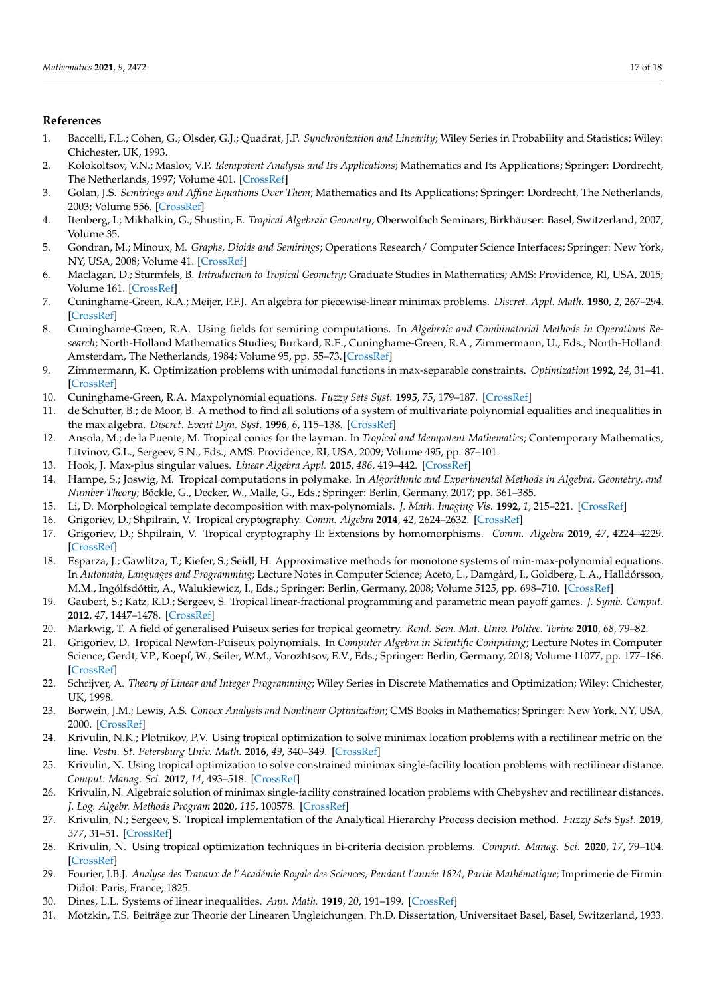# **References**

- <span id="page-16-0"></span>1. Baccelli, F.L.; Cohen, G.; Olsder, G.J.; Quadrat, J.P. *Synchronization and Linearity*; Wiley Series in Probability and Statistics; Wiley: Chichester, UK, 1993.
- 2. Kolokoltsov, V.N.; Maslov, V.P. *Idempotent Analysis and Its Applications*; Mathematics and Its Applications; Springer: Dordrecht, The Netherlands, 1997; Volume 401. [\[CrossRef\]](http://doi.org/10.1007/978-94-015-8901-7)
- 3. Golan, J.S. *Semirings and Affine Equations Over Them*; Mathematics and Its Applications; Springer: Dordrecht, The Netherlands, 2003; Volume 556. [\[CrossRef\]](http://dx.doi.org/10.1007/978-94-017-0383-3)
- <span id="page-16-11"></span>4. Itenberg, I.; Mikhalkin, G.; Shustin, E. *Tropical Algebraic Geometry*; Oberwolfach Seminars; Birkhäuser: Basel, Switzerland, 2007; Volume 35.
- <span id="page-16-2"></span>5. Gondran, M.; Minoux, M. *Graphs, Dioids and Semirings*; Operations Research/ Computer Science Interfaces; Springer: New York, NY, USA, 2008; Volume 41. [\[CrossRef\]](http://dx.doi.org/10.1007/978-0-387-75450-5)
- <span id="page-16-1"></span>6. Maclagan, D.; Sturmfels, B. *Introduction to Tropical Geometry*; Graduate Studies in Mathematics; AMS: Providence, RI, USA, 2015; Volume 161. [\[CrossRef\]](http://dx.doi.org/10.1090/gsm/161)
- <span id="page-16-3"></span>7. Cuninghame-Green, R.A.; Meijer, P.F.J. An algebra for piecewise-linear minimax problems. *Discret. Appl. Math.* **1980**, *2*, 267–294. [\[CrossRef\]](http://dx.doi.org/10.1016/0166-218X(80)90025-6)
- 8. Cuninghame-Green, R.A. Using fields for semiring computations. In *Algebraic and Combinatorial Methods in Operations Research*; North-Holland Mathematics Studies; Burkard, R.E., Cuninghame-Green, R.A., Zimmermann, U., Eds.; North-Holland: Amsterdam, The Netherlands, 1984; Volume 95, pp. 55–73. [\[CrossRef\]](http://dx.doi.org/10.1016/S0304-0208(08)72953-0)
- 9. Zimmermann, K. Optimization problems with unimodal functions in max-separable constraints. *Optimization* **1992**, *24*, 31–41. [\[CrossRef\]](http://dx.doi.org/10.1080/02331939208843777)
- 10. Cuninghame-Green, R.A. Maxpolynomial equations. *Fuzzy Sets Syst.* **1995**, *75*, 179–187. [\[CrossRef\]](http://dx.doi.org/10.1016/0165-0114(95)00012-A)
- 11. de Schutter, B.; de Moor, B. A method to find all solutions of a system of multivariate polynomial equalities and inequalities in the max algebra. *Discret. Event Dyn. Syst.* **1996**, *6*, 115–138. [\[CrossRef\]](http://dx.doi.org/10.1007/BF01797235)
- 12. Ansola, M.; de la Puente, M. Tropical conics for the layman. In *Tropical and Idempotent Mathematics*; Contemporary Mathematics; Litvinov, G.L., Sergeev, S.N., Eds.; AMS: Providence, RI, USA, 2009; Volume 495, pp. 87–101.
- <span id="page-16-4"></span>13. Hook, J. Max-plus singular values. *Linear Algebra Appl.* **2015**, *486*, 419–442. [\[CrossRef\]](http://dx.doi.org/10.1016/j.laa.2015.08.019)
- <span id="page-16-5"></span>14. Hampe, S.; Joswig, M. Tropical computations in polymake. In *Algorithmic and Experimental Methods in Algebra, Geometry, and Number Theory*; Böckle, G., Decker, W., Malle, G., Eds.; Springer: Berlin, Germany, 2017; pp. 361–385.
- <span id="page-16-6"></span>15. Li, D. Morphological template decomposition with max-polynomials. *J. Math. Imaging Vis.* **1992**, *1*, 215–221. [\[CrossRef\]](http://dx.doi.org/10.1007/BF00129876)
- <span id="page-16-7"></span>16. Grigoriev, D.; Shpilrain, V. Tropical cryptography. *Comm. Algebra* **2014**, *42*, 2624–2632. [\[CrossRef\]](http://dx.doi.org/10.1080/00927872.2013.766827)
- <span id="page-16-8"></span>17. Grigoriev, D.; Shpilrain, V. Tropical cryptography II: Extensions by homomorphisms. *Comm. Algebra* **2019**, *47*, 4224–4229. [\[CrossRef\]](http://dx.doi.org/10.1080/00927872.2019.1581213)
- <span id="page-16-9"></span>18. Esparza, J.; Gawlitza, T.; Kiefer, S.; Seidl, H. Approximative methods for monotone systems of min-max-polynomial equations. In *Automata, Languages and Programming*; Lecture Notes in Computer Science; Aceto, L., Damgård, I., Goldberg, L.A., Halldórsson, M.M., Ingólfsdóttir, A., Walukiewicz, I., Eds.; Springer: Berlin, Germany, 2008; Volume 5125, pp. 698–710. [\[CrossRef\]](http://dx.doi.org/10.1007/978-3-540-70575-8_57)
- <span id="page-16-10"></span>19. Gaubert, S.; Katz, R.D.; Sergeev, S. Tropical linear-fractional programming and parametric mean payoff games. *J. Symb. Comput.* **2012**, *47*, 1447–1478. [\[CrossRef\]](http://dx.doi.org/10.1016/j.jsc.2011.12.049)
- <span id="page-16-12"></span>20. Markwig, T. A field of generalised Puiseux series for tropical geometry. *Rend. Sem. Mat. Univ. Politec. Torino* **2010**, *68*, 79–82.
- <span id="page-16-13"></span>21. Grigoriev, D. Tropical Newton-Puiseux polynomials. In *Computer Algebra in Scientific Computing*; Lecture Notes in Computer Science; Gerdt, V.P., Koepf, W., Seiler, W.M., Vorozhtsov, E.V., Eds.; Springer: Berlin, Germany, 2018; Volume 11077, pp. 177–186. [\[CrossRef\]](http://dx.doi.org/10.1007/978-3-319-99639-4_12)
- <span id="page-16-14"></span>22. Schrijver, A. *Theory of Linear and Integer Programming*; Wiley Series in Discrete Mathematics and Optimization; Wiley: Chichester, UK, 1998.
- <span id="page-16-15"></span>23. Borwein, J.M.; Lewis, A.S. *Convex Analysis and Nonlinear Optimization*; CMS Books in Mathematics; Springer: New York, NY, USA, 2000. [\[CrossRef\]](http://dx.doi.org/10.1007/978-1-4757-9859-3)
- <span id="page-16-16"></span>24. Krivulin, N.K.; Plotnikov, P.V. Using tropical optimization to solve minimax location problems with a rectilinear metric on the line. *Vestn. St. Petersburg Univ. Math.* **2016**, *49*, 340–349. [\[CrossRef\]](http://dx.doi.org/10.3103/S1063454116040087)
- 25. Krivulin, N. Using tropical optimization to solve constrained minimax single-facility location problems with rectilinear distance. *Comput. Manag. Sci.* **2017**, *14*, 493–518. [\[CrossRef\]](http://dx.doi.org/10.1007/s10287-017-0289-2)
- <span id="page-16-17"></span>26. Krivulin, N. Algebraic solution of minimax single-facility constrained location problems with Chebyshev and rectilinear distances. *J. Log. Algebr. Methods Program* **2020**, *115*, 100578. [\[CrossRef\]](http://dx.doi.org/10.1016/j.jlamp.2020.100578)
- <span id="page-16-18"></span>27. Krivulin, N.; Sergeev, S. Tropical implementation of the Analytical Hierarchy Process decision method. *Fuzzy Sets Syst.* **2019**, *377*, 31–51. [\[CrossRef\]](http://dx.doi.org/10.1016/j.fss.2018.10.013)
- <span id="page-16-19"></span>28. Krivulin, N. Using tropical optimization techniques in bi-criteria decision problems. *Comput. Manag. Sci.* **2020**, *17*, 79–104. [\[CrossRef\]](http://dx.doi.org/10.1007/s10287-018-0341-x)
- <span id="page-16-20"></span>29. Fourier, J.B.J. *Analyse des Travaux de l'Académie Royale des Sciences, Pendant l'année 1824, Partie Mathématique*; Imprimerie de Firmin Didot: Paris, France, 1825.
- <span id="page-16-21"></span>30. Dines, L.L. Systems of linear inequalities. *Ann. Math.* **1919**, *20*, 191–199. [\[CrossRef\]](http://dx.doi.org/10.2307/1967869)
- <span id="page-16-22"></span>31. Motzkin, T.S. Beiträge zur Theorie der Linearen Ungleichungen. Ph.D. Dissertation, Universitaet Basel, Basel, Switzerland, 1933.